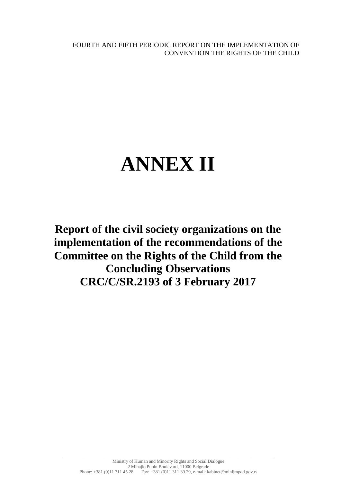FOURTH AND FIFTH PERIODIC REPORT ON THE IMPLEMENTATION OF CONVENTION THE RIGHTS OF THE CHILD

# **ANNEX II**

**Report of the civil society organizations on the implementation of the recommendations of the Committee on the Rights of the Child from the Concluding Observations CRC/C/SR.2193 of 3 February 2017**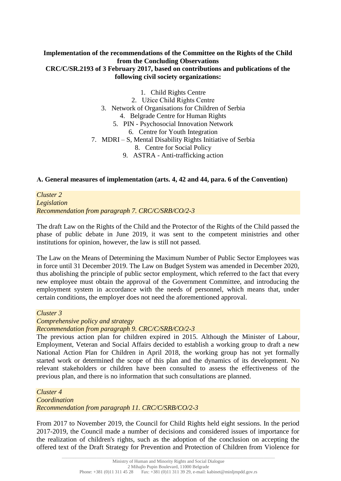## **Implementation of the recommendations of the Committee on the Rights of the Child from the Concluding Observations CRC/C/SR.2193 of 3 February 2017, based on contributions and publications of the following civil society organizations:**

1. Child Rights Centre 2. Užice Child Rights Centre 3. Network of Organisations for Children of Serbia 4. Belgrade Centre for Human Rights 5. PIN - Psychosocial Innovation Network 6. Centre for Youth Integration 7. MDRI – S, Mental Disability Rights Initiative of Serbia 8. Centre for Social Policy 9. ASTRA - Anti-trafficking action

#### **А. General measures of implementation (arts. 4, 42 and 44, para. 6 of the Convention)**

*Cluster 2 Legislation Recommendation from paragraph 7. CRC/C/SRB/CO/2-3*

The draft Law on the Rights of the Child and the Protector of the Rights of the Child passed the phase of public debate in June 2019, it was sent to the competent ministries and other institutions for opinion, however, the law is still not passed.

The Law on the Means of Determining the Maximum Number of Public Sector Employees was in force until 31 December 2019. The Law on Budget System was amended in December 2020, thus abolishing the principle of public sector employment, which referred to the fact that every new employee must obtain the approval of the Government Committee, and introducing the employment system in accordance with the needs of personnel, which means that, under certain conditions, the employer does not need the aforementioned approval.

#### *Cluster 3*

*Comprehensive policy and strategy* 

*Recommendation from paragraph 9. CRC/C/SRB/CO/2-3*

The previous action plan for children expired in 2015. Although the Minister of Labour, Employment, Veteran and Social Affairs decided to establish a working group to draft a new National Action Plan for Children in April 2018, the working group has not yet formally started work or determined the scope of this plan and the dynamics of its development. No relevant stakeholders or children have been consulted to assess the effectiveness of the previous plan, and there is no information that such consultations are planned.

*Cluster 4 Coordination Recommendation from paragraph 11. CRC/C/SRB/CO/2-3*

From 2017 to November 2019, the Council for Child Rights held eight sessions. In the period 2017-2019, the Council made a number of decisions and considered issues of importance for the realization of children's rights, such as the adoption of the conclusion on accepting the offered text of the Draft Strategy for Prevention and Protection of Children from Violence for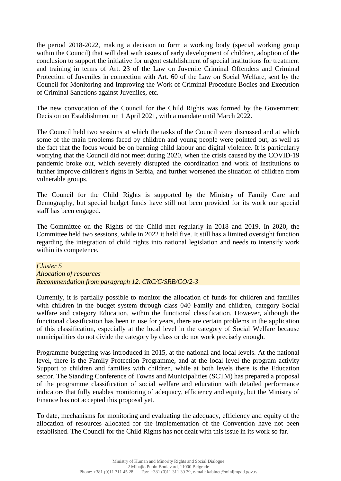the period 2018-2022, making a decision to form a working body (special working group within the Council) that will deal with issues of early development of children, adoption of the conclusion to support the initiative for urgent establishment of special institutions for treatment and training in terms of Art. 23 of the Law on Juvenile Criminal Offenders and Criminal Protection of Juveniles in connection with Art. 60 of the Law on Social Welfare, sent by the Council for Monitoring and Improving the Work of Criminal Procedure Bodies and Execution of Criminal Sanctions against Juveniles, etc.

The new convocation of the Council for the Child Rights was formed by the Government Decision on Establishment on 1 April 2021, with a mandate until March 2022.

The Council held two sessions at which the tasks of the Council were discussed and at which some of the main problems faced by children and young people were pointed out, as well as the fact that the focus would be on banning child labour and digital violence. It is particularly worrying that the Council did not meet during 2020, when the crisis caused by the COVID-19 pandemic broke out, which severely disrupted the coordination and work of institutions to further improve children's rights in Serbia, and further worsened the situation of children from vulnerable groups.

The Council for the Child Rights is supported by the Ministry of Family Care and Demography, but special budget funds have still not been provided for its work nor special staff has been engaged.

The Committee on the Rights of the Child met regularly in 2018 and 2019. In 2020, the Committee held two sessions, while in 2022 it held five. It still has a limited oversight function regarding the integration of child rights into national legislation and needs to intensify work within its competence.

*Cluster 5 Allocation of resources Recommendation from paragraph 12. CRC/C/SRB/CO/2-3*

Currently, it is partially possible to monitor the allocation of funds for children and families with children in the budget system through class 040 Family and children, category Social welfare and category Education, within the functional classification. However, although the functional classification has been in use for years, there are certain problems in the application of this classification, especially at the local level in the category of Social Welfare because municipalities do not divide the category by class or do not work precisely enough.

Programme budgeting was introduced in 2015, at the national and local levels. At the national level, there is the Family Protection Programme, and at the local level the program activity Support to children and families with children, while at both levels there is the Education sector. The Standing Conference of Towns and Municipalities (SCTM) has prepared a proposal of the programme classification of social welfare and education with detailed performance indicators that fully enables monitoring of adequacy, efficiency and equity, but the Ministry of Finance has not accepted this proposal yet.

To date, mechanisms for monitoring and evaluating the adequacy, efficiency and equity of the allocation of resources allocated for the implementation of the Convention have not been established. The Council for the Child Rights has not dealt with this issue in its work so far.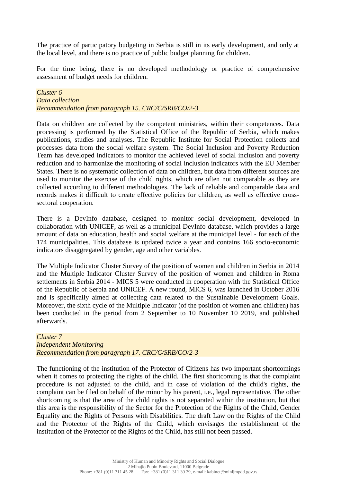The practice of participatory budgeting in Serbia is still in its early development, and only at the local level, and there is no practice of public budget planning for children.

For the time being, there is no developed methodology or practice of comprehensive assessment of budget needs for children.

*Cluster 6 Data collection Recommendation from paragraph 15. CRC/C/SRB/CO/2-3*

Data on children are collected by the competent ministries, within their competences. Data processing is performed by the Statistical Office of the Republic of Serbia, which makes publications, studies and analyses. The Republic Institute for Social Protection collects and processes data from the social welfare system. The Social Inclusion and Poverty Reduction Team has developed indicators to monitor the achieved level of social inclusion and poverty reduction and to harmonize the monitoring of social inclusion indicators with the EU Member States. There is no systematic collection of data on children, but data from different sources are used to monitor the exercise of the child rights, which are often not comparable as they are collected according to different methodologies. The lack of reliable and comparable data and records makes it difficult to create effective policies for children, as well as effective crosssectoral cooperation.

There is a DevInfo database, designed to monitor social development, developed in collaboration with UNICEF, as well as a municipal DevInfo database, which provides a large amount of data on education, health and social welfare at the municipal level - for each of the 174 municipalities. This database is updated twice a year and contains 166 socio-economic indicators disaggregated by gender, age and other variables.

The Multiple Indicator Cluster Survey of the position of women and children in Serbia in 2014 and the Multiple Indicator Cluster Survey of the position of women and children in Roma settlements in Serbia 2014 - MICS 5 were conducted in cooperation with the Statistical Office of the Republic of Serbia and UNICEF. A new round, MICS 6, was launched in October 2016 and is specifically aimed at collecting data related to the Sustainable Development Goals. Moreover, the sixth cycle of the Multiple Indicator (of the position of women and children) has been conducted in the period from 2 September to 10 November 10 2019, and published afterwards.

#### *Cluster 7 Independent Monitoring Recommendation from paragraph 17. CRC/C/SRB/CO/2-3*

The functioning of the institution of the Protector of Citizens has two important shortcomings when it comes to protecting the rights of the child. The first shortcoming is that the complaint procedure is not adjusted to the child, and in case of violation of the child's rights, the complaint can be filed on behalf of the minor by his parent, i.e., legal representative. The other shortcoming is that the area of the child rights is not separated within the institution, but that this area is the responsibility of the Sector for the Protection of the Rights of the Child, Gender Equality and the Rights of Persons with Disabilities. The draft Law on the Rights of the Child and the Protector of the Rights of the Child, which envisages the establishment of the institution of the Protector of the Rights of the Child, has still not been passed.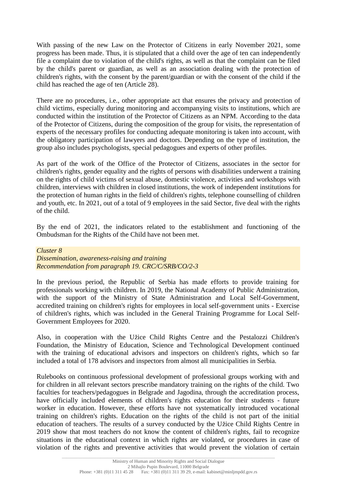With passing of the new Law on the Protector of Citizens in early November 2021, some progress has been made. Thus, it is stipulated that a child over the age of ten can independently file a complaint due to violation of the child's rights, as well as that the complaint can be filed by the child's parent or guardian, as well as an association dealing with the protection of children's rights, with the consent by the parent/guardian or with the consent of the child if the child has reached the age of ten (Article 28).

There are no procedures, i.e., other appropriate act that ensures the privacy and protection of child victims, especially during monitoring and accompanying visits to institutions, which are conducted within the institution of the Protector of Citizens as an NPM. According to the data of the Protector of Citizens, during the composition of the group for visits, the representation of experts of the necessary profiles for conducting adequate monitoring is taken into account, with the obligatory participation of lawyers and doctors. Depending on the type of institution, the group also includes psychologists, special pedagogues and experts of other profiles.

As part of the work of the Office of the Protector of Citizens, associates in the sector for children's rights, gender equality and the rights of persons with disabilities underwent a training on the rights of child victims of sexual abuse, domestic violence, activities and workshops with children, interviews with children in closed institutions, the work of independent institutions for the protection of human rights in the field of children's rights, telephone counselling of children and youth, etc. In 2021, out of a total of 9 employees in the said Sector, five deal with the rights of the child.

By the end of 2021, the indicators related to the establishment and functioning of the Ombudsman for the Rights of the Child have not been met.

#### *Cluster 8*

*Dissemination, awareness-raising and training Recommendation from paragraph 19. CRC/C/SRB/CO/2-3*

In the previous period, the Republic of Serbia has made efforts to provide training for professionals working with children. In 2019, the National Academy of Public Administration, with the support of the Ministry of State Administration and Local Self-Government, accredited training on children's rights for employees in local self-government units - Exercise of children's rights, which was included in the General Training Programme for Local Self-Government Employees for 2020.

Also, in cooperation with the Užice Child Rights Centre and the Pestalozzi Children's Foundation, the Ministry of Education, Science and Technological Development continued with the training of educational advisors and inspectors on children's rights, which so far included a total of 178 advisors and inspectors from almost all municipalities in Serbia.

Rulebooks on continuous professional development of professional groups working with and for children in all relevant sectors prescribe mandatory training on the rights of the child. Two faculties for teachers/pedagogues in Belgrade and Jagodina, through the accreditation process, have officially included elements of children's rights education for their students - future worker in education. However, these efforts have not systematically introduced vocational training on children's rights. Education on the rights of the child is not part of the initial education of teachers. The results of a survey conducted by the Užice Child Rights Centre in 2019 show that most teachers do not know the content of children's rights, fail to recognize situations in the educational context in which rights are violated, or procedures in case of violation of the rights and preventive activities that would prevent the violation of certain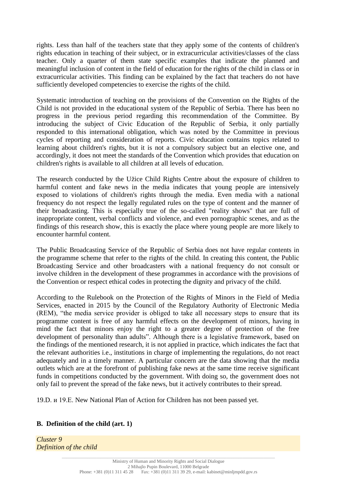rights. Less than half of the teachers state that they apply some of the contents of children's rights education in teaching of their subject, or in extracurricular activities/classes of the class teacher. Only a quarter of them state specific examples that indicate the planned and meaningful inclusion of content in the field of education for the rights of the child in class or in extracurricular activities. This finding can be explained by the fact that teachers do not have sufficiently developed competencies to exercise the rights of the child.

Systematic introduction of teaching on the provisions of the Convention on the Rights of the Child is not provided in the educational system of the Republic of Serbia. There has been no progress in the previous period regarding this recommendation of the Committee. By introducing the subject of Civic Education of the Republic of Serbia, it only partially responded to this international obligation, which was noted by the Committee in previous cycles of reporting and consideration of reports. Civic education contains topics related to learning about children's rights, but it is not a compulsory subject but an elective one, and accordingly, it does not meet the standards of the Convention which provides that education on children's rights is available to all children at all levels of education.

The research conducted by the Užice Child Rights Centre about the exposure of children to harmful content and fake news in the media indicates that young people are intensively exposed to violations of children's rights through the media. Even media with a national frequency do not respect the legally regulated rules on the type of content and the manner of their broadcasting. This is especially true of the so-called "reality shows" that are full of inappropriate content, verbal conflicts and violence, and even pornographic scenes, and as the findings of this research show, this is exactly the place where young people are more likely to encounter harmful content.

The Public Broadcasting Service of the Republic of Serbia does not have regular contents in the programme scheme that refer to the rights of the child. In creating this content, the Public Broadcasting Service and other broadcasters with a national frequency do not consult or involve children in the development of these programmes in accordance with the provisions of the Convention or respect ethical codes in protecting the dignity and privacy of the child.

According to the Rulebook on the Protection of the Rights of Minors in the Field of Media Services, enacted in 2015 by the Council of the Regulatory Authority of Electronic Media (REM), "the media service provider is obliged to take all necessary steps to ensure that its programme content is free of any harmful effects on the development of minors, having in mind the fact that minors enjoy the right to a greater degree of protection of the free development of personality than adults". Although there is a legislative framework, based on the findings of the mentioned research, it is not applied in practice, which indicates the fact that the relevant authorities i.e., institutions in charge of implementing the regulations, do not react adequately and in a timely manner. A particular concern are the data showing that the media outlets which are at the forefront of publishing fake news at the same time receive significant funds in competitions conducted by the government. With doing so, the government does not only fail to prevent the spread of the fake news, but it actively contributes to their spread.

19.D. и 19.Е. New National Plan of Action for Children has not been passed yet.

## **B. Definition of the child (art. 1)**

*Cluster 9 Definition of the child*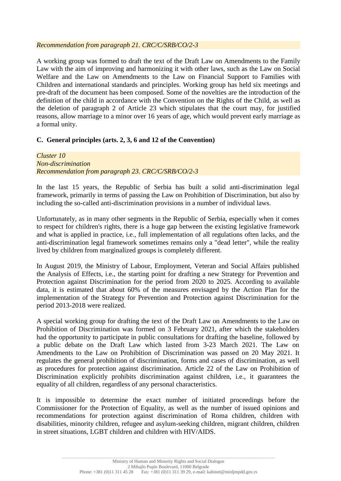#### *Recommendation from paragraph 21. CRC/C/SRB/CO/2-3*

A working group was formed to draft the text of the Draft Law on Amendments to the Family Law with the aim of improving and harmonizing it with other laws, such as the Law on Social Welfare and the Law on Amendments to the Law on Financial Support to Families with Children and international standards and principles. Working group has held six meetings and pre-draft of the document has been composed. Some of the novelties are the introduction of the definition of the child in accordance with the Convention on the Rights of the Child, as well as the deletion of paragraph 2 of Article 23 which stipulates that the court may, for justified reasons, allow marriage to a minor over 16 years of age, which would prevent early marriage as a formal unity.

## **C. General principles (arts. 2, 3, 6 and 12 of the Convention)**

*Cluster 10 Non-discrimination Recommendation from paragraph 23. CRC/C/SRB/CO/2-3*

In the last 15 years, the Republic of Serbia has built a solid anti-discrimination legal framework, primarily in terms of passing the Law on Prohibition of Discrimination, but also by including the so-called anti-discrimination provisions in a number of individual laws.

Unfortunately, as in many other segments in the Republic of Serbia, especially when it comes to respect for children's rights, there is a huge gap between the existing legislative framework and what is applied in practice, i.e., full implementation of all regulations often lacks, and the anti-discrimination legal framework sometimes remains only a "dead letter", while the reality lived by children from marginalized groups is completely different.

In August 2019, the Ministry of Labour, Employment, Veteran and Social Affairs published the Analysis of Effects, i.e., the starting point for drafting a new Strategy for Prevention and Protection against Discrimination for the period from 2020 to 2025. According to available data, it is estimated that about 60% of the measures envisaged by the Action Plan for the implementation of the Strategy for Prevention and Protection against Discrimination for the period 2013-2018 were realized.

A special working group for drafting the text of the Draft Law on Amendments to the Law on Prohibition of Discrimination was formed on 3 February 2021, after which the stakeholders had the opportunity to participate in public consultations for drafting the baseline, followed by a public debate on the Draft Law which lasted from 3-23 March 2021. The Law on Amendments to the Law on Prohibition of Discrimination was passed on 20 May 2021. It regulates the general prohibition of discrimination, forms and cases of discrimination, as well as procedures for protection against discrimination. Article 22 of the Law on Prohibition of Discrimination explicitly prohibits discrimination against children, i.e., it guarantees the equality of all children, regardless of any personal characteristics.

It is impossible to determine the exact number of initiated proceedings before the Commissioner for the Protection of Equality, as well as the number of issued opinions and recommendations for protection against discrimination of Roma children, children with disabilities, minority children, refugee and asylum-seeking children, migrant children, children in street situations, LGBT children and children with HIV/AIDS.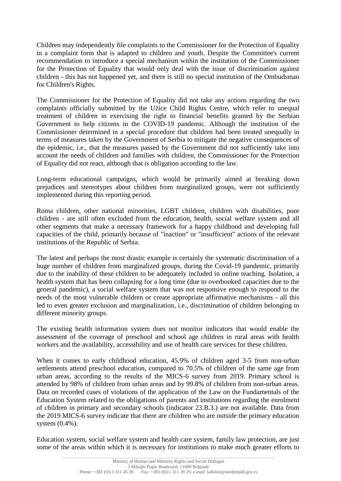Children may independently file complaints to the Commissioner for the Protection of Equality in a complaint form that is adapted to children and youth. Despite the Committee's current recommendation to introduce a special mechanism within the institution of the Commissioner for the Protection of Equality that would only deal with the issue of discrimination against children - this has not happened yet, and there is still no special institution of the Ombudsman for Children's Rights.

The Commissioner for the Protection of Equality did not take any actions regarding the two complaints officially submitted by the Užice Child Rights Centre, which refer to unequal treatment of children in exercising the right to financial benefits granted by the Serbian Government to help citizens in the COVID-19 pandemic. Although the institution of the Commissioner determined in a special procedure that children had been treated unequally in terms of measures taken by the Government of Serbia to mitigate the negative consequences of the epidemic, i.e., that the measures passed by the Government did not sufficiently take into account the needs of children and families with children, the Commissioner for the Protection of Equality did not react, although that is obligation according to the law.

Long-term educational campaigns, which would be primarily aimed at breaking down prejudices and stereotypes about children from marginalized groups, were not sufficiently implemented during this reporting period.

Roma children, other national minorities, LGBT children, children with disabilities, poor children - are still often excluded from the education, health, social welfare system and all other segments that make a necessary framework for a happy childhood and developing full capacities of the child, primarily because of "inaction" or "insufficient" actions of the relevant institutions of the Republic of Serbia.

The latest and perhaps the most drastic example is certainly the systematic discrimination of a huge number of children from marginalized groups, during the Covid-19 pandemic, primarily due to the inability of these children to be adequately included in online teaching. Isolation, a health system that has been collapsing for a long time (due to overbooked capacities due to the general pandemic), a social welfare system that was not responsive enough to respond to the needs of the most vulnerable children or create appropriate affirmative mechanisms - all this led to even greater exclusion and marginalization, i.e., discrimination of children belonging to different minority groups.

The existing health information system does not monitor indicators that would enable the assessment of the coverage of preschool and school age children in rural areas with health workers and the availability, accessibility and use of health care services for these children.

When it comes to early childhood education, 45.9% of children aged 3-5 from non-urban settlements attend preschool education, compared to 70.5% of children of the same age from urban areas, according to the results of the MICS-6 survey from 2019. Primary school is attended by 98% of children from urban areas and by 99.8% of children from non-urban areas. Data on recorded cases of violations of the application of the Law on the Fundamentals of the Education System related to the obligations of parents and institutions regarding the enrolment of children in primary and secondary schools (indicator 23.B.3.) are not available. Data from the 2019 MICS-6 survey indicate that there are children who are outside the primary education system (0.4%).

Education system, social welfare system and health care system, family law protection, are just some of the areas within which it is necessary for institutions to make much greater efforts to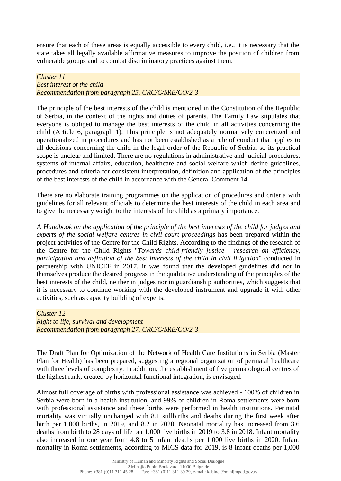ensure that each of these areas is equally accessible to every child, i.e., it is necessary that the state takes all legally available affirmative measures to improve the position of children from vulnerable groups and to combat discriminatory practices against them.

*Cluster 11 Best interest of the child Recommendation from paragraph 25. CRC/C/SRB/CO/2-3*

The principle of the best interests of the child is mentioned in the Constitution of the Republic of Serbia, in the context of the rights and duties of parents. The Family Law stipulates that everyone is obliged to manage the best interests of the child in all activities concerning the child (Article 6, paragraph 1). This principle is not adequately normatively concretized and operationalized in procedures and has not been established as a rule of conduct that applies to all decisions concerning the child in the legal order of the Republic of Serbia, so its practical scope is unclear and limited. There are no regulations in administrative and judicial procedures, systems of internal affairs, education, healthcare and social welfare which define guidelines, procedures and criteria for consistent interpretation, definition and application of the principles of the best interests of the child in accordance with the General Comment 14.

There are no elaborate training programmes on the application of procedures and criteria with guidelines for all relevant officials to determine the best interests of the child in each area and to give the necessary weight to the interests of the child as a primary importance.

A *Handbook on the application of the principle of the best interests of the child for judges and experts of the social welfare centres in civil court proceedings* has been prepared within the project activities of the Centre for the Child Rights. According to the findings of the research of the Centre for the Child Rights "*Towards child-friendly justice - research on efficiency, participation and definition of the best interests of the child in civil litigation*" conducted in partnership with UNICEF in 2017, it was found that the developed guidelines did not in themselves produce the desired progress in the qualitative understanding of the principles of the best interests of the child, neither in judges nor in guardianship authorities, which suggests that it is necessary to continue working with the developed instrument and upgrade it with other activities, such as capacity building of experts.

#### *Cluster 12*

*Right to life, survival and development Recommendation from paragraph 27. CRC/C/SRB/CO/2-3*

The Draft Plan for Optimization of the Network of Health Care Institutions in Serbia (Master Plan for Health) has been prepared, suggesting a regional organization of perinatal healthcare with three levels of complexity. In addition, the establishment of five perinatological centres of the highest rank, created by horizontal functional integration, is envisaged.

Almost full coverage of births with professional assistance was achieved - 100% of children in Serbia were born in a health institution, and 99% of children in Roma settlements were born with professional assistance and these births were performed in health institutions. Perinatal mortality was virtually unchanged with 8.1 stillbirths and deaths during the first week after birth per 1,000 births, in 2019, and 8.2 in 2020. Neonatal mortality has increased from 3.6 deaths from birth to 28 days of life per 1,000 live births in 2019 to 3.8 in 2018. Infant mortality also increased in one year from 4.8 to 5 infant deaths per 1,000 live births in 2020. Infant mortality in Roma settlements, according to MICS data for 2019, is 8 infant deaths per 1,000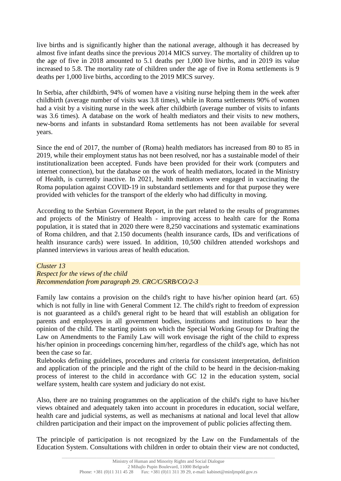live births and is significantly higher than the national average, although it has decreased by almost five infant deaths since the previous 2014 MICS survey. The mortality of children up to the age of five in 2018 amounted to 5.1 deaths per 1,000 live births, and in 2019 its value increased to 5.8. The mortality rate of children under the age of five in Roma settlements is 9 deaths per 1,000 live births, according to the 2019 MICS survey.

In Serbia, after childbirth, 94% of women have a visiting nurse helping them in the week after childbirth (average number of visits was 3.8 times), while in Roma settlements 90% of women had a visit by a visiting nurse in the week after childbirth (average number of visits to infants was 3.6 times). A database on the work of health mediators and their visits to new mothers, new-borns and infants in substandard Roma settlements has not been available for several years.

Since the end of 2017, the number of (Roma) health mediators has increased from 80 to 85 in 2019, while their employment status has not been resolved, nor has a sustainable model of their institutionalization been accepted. Funds have been provided for their work (computers and internet connection), but the database on the work of health mediators, located in the Ministry of Health, is currently inactive. In 2021, health mediators were engaged in vaccinating the Roma population against COVID-19 in substandard settlements and for that purpose they were provided with vehicles for the transport of the elderly who had difficulty in moving.

According to the Serbian Government Report, in the part related to the results of programmes and projects of the Ministry of Health - improving access to health care for the Roma population, it is stated that in 2020 there were 8,250 vaccinations and systematic examinations of Roma children, and that 2.150 documents (health insurance cards, IDs and verifications of health insurance cards) were issued. In addition, 10,500 children attended workshops and planned interviews in various areas of health education.

## *Cluster 13 Respect for the views of the child Recommendation from paragraph 29. CRC/C/SRB/CO/2-3*

Family law contains a provision on the child's right to have his/her opinion heard (art. 65) which is not fully in line with General Comment 12. The child's right to freedom of expression is not guaranteed as a child's general right to be heard that will establish an obligation for parents and employees in all government bodies, institutions and institutions to hear the opinion of the child. The starting points on which the Special Working Group for Drafting the Law on Amendments to the Family Law will work envisage the right of the child to express his/her opinion in proceedings concerning him/her, regardless of the child's age, which has not been the case so far.

Rulebooks defining guidelines, procedures and criteria for consistent interpretation, definition and application of the principle and the right of the child to be heard in the decision-making process of interest to the child in accordance with GC 12 in the education system, social welfare system, health care system and judiciary do not exist.

Also, there are no training programmes on the application of the child's right to have his/her views obtained and adequately taken into account in procedures in education, social welfare, health care and judicial systems, as well as mechanisms at national and local level that allow children participation and their impact on the improvement of public policies affecting them.

The principle of participation is not recognized by the Law on the Fundamentals of the Education System. Consultations with children in order to obtain their view are not conducted,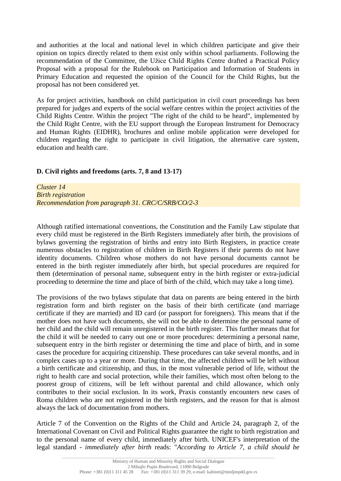and authorities at the local and national level in which children participate and give their opinion on topics directly related to them exist only within school parliaments. Following the recommendation of the Committee, the Užice Child Rights Centre drafted a Practical Policy Proposal with a proposal for the Rulebook on Participation and Information of Students in Primary Education and requested the opinion of the Council for the Child Rights, but the proposal has not been considered yet.

As for project activities, handbook on child participation in civil court proceedings has been prepared for judges and experts of the social welfare centres within the project activities of the Child Rights Centre. Within the project "The right of the child to be heard", implemented by the Child Right Centre, with the EU support through the European Instrument for Democracy and Human Rights (EIDHR), brochures and online mobile application were developed for children regarding the right to participate in civil litigation, the alternative care system, education and health care.

## **D. Civil rights and freedoms (arts. 7, 8 and 13-17)**

*Cluster 14 Birth registration Recommendation from paragraph 31. CRC/C/SRB/CO/2-3*

Although ratified international conventions, the Constitution and the Family Law stipulate that every child must be registered in the Birth Registers immediately after birth, the provisions of bylaws governing the registration of births and entry into Birth Registers, in practice create numerous obstacles to registration of children in Birth Registers if their parents do not have identity documents. Children whose mothers do not have personal documents cannot be entered in the birth register immediately after birth, but special procedures are required for them (determination of personal name, subsequent entry in the birth register or extra-judicial proceeding to determine the time and place of birth of the child, which may take a long time).

The provisions of the two bylaws stipulate that data on parents are being entered in the birth registration form and birth register on the basis of their birth certificate (and marriage certificate if they are married) and ID card (or passport for foreigners). This means that if the mother does not have such documents, she will not be able to determine the personal name of her child and the child will remain unregistered in the birth register. This further means that for the child it will be needed to carry out one or more procedures: determining a personal name, subsequent entry in the birth register or determining the time and place of birth, and in some cases the procedure for acquiring citizenship. These procedures can take several months, and in complex cases up to a year or more. During that time, the affected children will be left without a birth certificate and citizenship, and thus, in the most vulnerable period of life, without the right to health care and social protection, while their families, which most often belong to the poorest group of citizens, will be left without parental and child allowance, which only contributes to their social exclusion. In its work, Praxis constantly encounters new cases of Roma children who are not registered in the birth registers, and the reason for that is almost always the lack of documentation from mothers.

Article 7 of the Convention on the Rights of the Child and Article 24, paragraph 2, of the International Covenant on Civil and Political Rights guarantee the right to birth registration and to the personal name of every child, immediately after birth. UNICEF's interpretation of the legal standard - *immediately after birth* reads: "*According to Article 7, a child should be*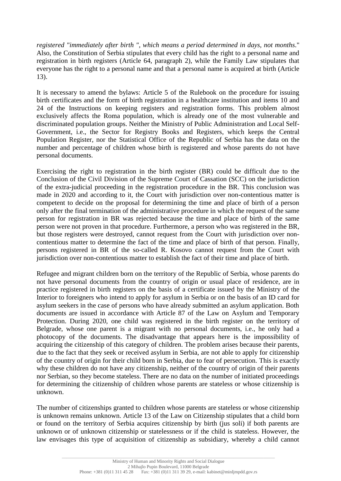*registered "immediately after birth ", which means a period determined in days, not months*." Also, the Constitution of Serbia stipulates that every child has the right to a personal name and registration in birth registers (Article 64, paragraph 2), while the Family Law stipulates that everyone has the right to a personal name and that a personal name is acquired at birth (Article 13).

It is necessary to amend the bylaws: Article 5 of the Rulebook on the procedure for issuing birth certificates and the form of birth registration in a healthcare institution and items 10 and 24 of the Instructions on keeping registers and registration forms. This problem almost exclusively affects the Roma population, which is already one of the most vulnerable and discriminated population groups. Neither the Ministry of Public Administration and Local Self-Government, i.e., the Sector for Registry Books and Registers, which keeps the Central Population Register, nor the Statistical Office of the Republic of Serbia has the data on the number and percentage of children whose birth is registered and whose parents do not have personal documents.

Exercising the right to registration in the birth register (BR) could be difficult due to the Conclusion of the Civil Division of the Supreme Court of Cassation (SCC) on the jurisdiction of the extra-judicial proceeding in the registration procedure in the BR. This conclusion was made in 2020 and according to it, the Court with jurisdiction over non-contentious matter is competent to decide on the proposal for determining the time and place of birth of a person only after the final termination of the administrative procedure in which the request of the same person for registration in BR was rejected because the time and place of birth of the same person were not proven in that procedure. Furthermore, a person who was registered in the BR, but those registers were destroyed, cannot request from the Court with jurisdiction over noncontentious matter to determine the fact of the time and place of birth of that person. Finally, persons registered in BR of the so-called R. Kosovo cannot request from the Court with jurisdiction over non-contentious matter to establish the fact of their time and place of birth.

Refugee and migrant children born on the territory of the Republic of Serbia, whose parents do not have personal documents from the country of origin or usual place of residence, are in practice registered in birth registers on the basis of a certificate issued by the Ministry of the Interior to foreigners who intend to apply for asylum in Serbia or on the basis of an ID card for asylum seekers in the case of persons who have already submitted an asylum application. Both documents are issued in accordance with Article 87 of the Law on Asylum and Temporary Protection. During 2020, one child was registered in the birth register on the territory of Belgrade, whose one parent is a migrant with no personal documents, i.e., he only had a photocopy of the documents. The disadvantage that appears here is the impossibility of acquiring the citizenship of this category of children. The problem arises because their parents, due to the fact that they seek or received asylum in Serbia, are not able to apply for citizenship of the country of origin for their child born in Serbia, due to fear of persecution. This is exactly why these children do not have any citizenship, neither of the country of origin of their parents nor Serbian, so they become stateless. There are no data on the number of initiated proceedings for determining the citizenship of children whose parents are stateless or whose citizenship is unknown.

The number of citizenships granted to children whose parents are stateless or whose citizenship is unknown remains unknown. Article 13 of the Law on Citizenship stipulates that a child born or found on the territory of Serbia acquires citizenship by birth (jus soli) if both parents are unknown or of unknown citizenship or statelessness or if the child is stateless. However, the law envisages this type of acquisition of citizenship as subsidiary, whereby a child cannot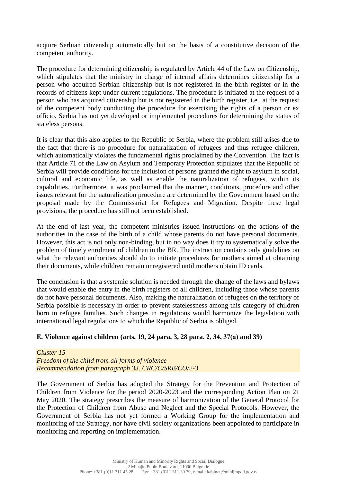acquire Serbian citizenship automatically but on the basis of a constitutive decision of the competent authority.

The procedure for determining citizenship is regulated by Article 44 of the Law on Citizenship, which stipulates that the ministry in charge of internal affairs determines citizenship for a person who acquired Serbian citizenship but is not registered in the birth register or in the records of citizens kept under current regulations. The procedure is initiated at the request of a person who has acquired citizenship but is not registered in the birth register, i.e., at the request of the competent body conducting the procedure for exercising the rights of a person or ex officio. Serbia has not yet developed or implemented procedures for determining the status of stateless persons.

It is clear that this also applies to the Republic of Serbia, where the problem still arises due to the fact that there is no procedure for naturalization of refugees and thus refugee children, which automatically violates the fundamental rights proclaimed by the Convention. The fact is that Article 71 of the Law on Asylum and Temporary Protection stipulates that the Republic of Serbia will provide conditions for the inclusion of persons granted the right to asylum in social, cultural and economic life, as well as enable the naturalization of refugees, within its capabilities. Furthermore, it was proclaimed that the manner, conditions, procedure and other issues relevant for the naturalization procedure are determined by the Government based on the proposal made by the Commissariat for Refugees and Migration. Despite these legal provisions, the procedure has still not been established.

At the end of last year, the competent ministries issued instructions on the actions of the authorities in the case of the birth of a child whose parents do not have personal documents. However, this act is not only non-binding, but in no way does it try to systematically solve the problem of timely enrolment of children in the BR. The instruction contains only guidelines on what the relevant authorities should do to initiate procedures for mothers aimed at obtaining their documents, while children remain unregistered until mothers obtain ID cards.

The conclusion is that a systemic solution is needed through the change of the laws and bylaws that would enable the entry in the birth registers of all children, including those whose parents do not have personal documents. Also, making the naturalization of refugees on the territory of Serbia possible is necessary in order to prevent statelessness among this category of children born in refugee families. Such changes in regulations would harmonize the legislation with international legal regulations to which the Republic of Serbia is obliged.

## **Е. Violence against children (arts. 19, 24 para. 3, 28 para. 2, 34, 37(а) and 39)**

*Cluster 15 Freedom of the child from all forms of violence Recommendation from paragraph 33. CRC/C/SRB/CO/2-3*

The Government of Serbia has adopted the Strategy for the Prevention and Protection of Children from Violence for the period 2020-2023 and the corresponding Action Plan on 21 May 2020. The strategy prescribes the measure of harmonization of the General Protocol for the Protection of Children from Abuse and Neglect and the Special Protocols. However, the Government of Serbia has not yet formed a Working Group for the implementation and monitoring of the Strategy, nor have civil society organizations been appointed to participate in monitoring and reporting on implementation.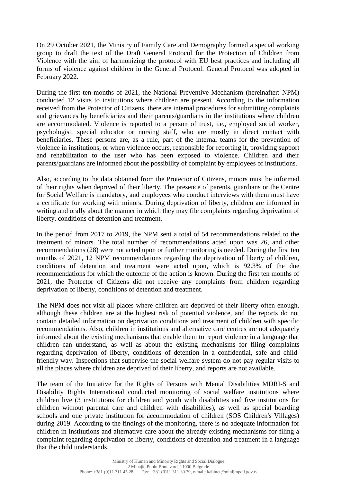On 29 October 2021, the Ministry of Family Care and Demography formed a special working group to draft the text of the Draft General Protocol for the Protection of Children from Violence with the aim of harmonizing the protocol with EU best practices and including all forms of violence against children in the General Protocol. General Protocol was adopted in February 2022.

During the first ten months of 2021, the National Preventive Mechanism (hereinafter: NPM) conducted 12 visits to institutions where children are present. According to the information received from the Protector of Citizens, there are internal procedures for submitting complaints and grievances by beneficiaries and their parents/guardians in the institutions where children are accommodated. Violence is reported to a person of trust, i.e., employed social worker, psychologist, special educator or nursing staff, who are mostly in direct contact with beneficiaries. These persons are, as a rule, part of the internal teams for the prevention of violence in institutions, or when violence occurs, responsible for reporting it, providing support and rehabilitation to the user who has been exposed to violence. Children and their parents/guardians are informed about the possibility of complaint by employees of institutions.

Also, according to the data obtained from the Protector of Citizens, minors must be informed of their rights when deprived of their liberty. The presence of parents, guardians or the Centre for Social Welfare is mandatory, and employees who conduct interviews with them must have a certificate for working with minors. During deprivation of liberty, children are informed in writing and orally about the manner in which they may file complaints regarding deprivation of liberty, conditions of detention and treatment.

In the period from 2017 to 2019, the NPM sent a total of 54 recommendations related to the treatment of minors. The total number of recommendations acted upon was 26, and other recommendations (28) were not acted upon or further monitoring is needed. During the first ten months of 2021, 12 NPM recommendations regarding the deprivation of liberty of children, conditions of detention and treatment were acted upon, which is 92.3% of the due recommendations for which the outcome of the action is known. During the first ten months of 2021, the Protector of Citizens did not receive any complaints from children regarding deprivation of liberty, conditions of detention and treatment.

The NPM does not visit all places where children are deprived of their liberty often enough, although these children are at the highest risk of potential violence, and the reports do not contain detailed information on deprivation conditions and treatment of children with specific recommendations. Also, children in institutions and alternative care centres are not adequately informed about the existing mechanisms that enable them to report violence in a language that children can understand, as well as about the existing mechanisms for filing complaints regarding deprivation of liberty, conditions of detention in a confidential, safe and childfriendly way. Inspections that supervise the social welfare system do not pay regular visits to all the places where children are deprived of their liberty, and reports are not available.

The team of the Initiative for the Rights of Persons with Mental Disabilities MDRI-S and Disability Rights International conducted monitoring of social welfare institutions where children live (3 institutions for children and youth with disabilities and five institutions for children without parental care and children with disabilities), as well as special boarding schools and one private institution for accommodation of children (SOS Children's Villages) during 2019. According to the findings of the monitoring, there is no adequate information for children in institutions and alternative care about the already existing mechanisms for filing a complaint regarding deprivation of liberty, conditions of detention and treatment in a language that the child understands.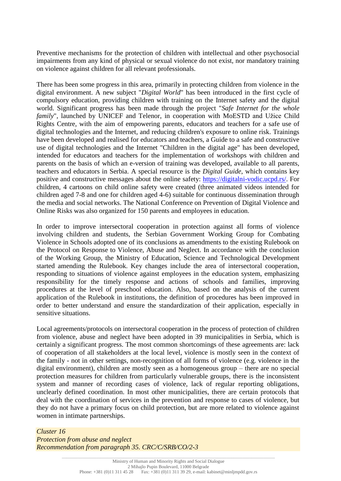Preventive mechanisms for the protection of children with intellectual and other psychosocial impairments from any kind of physical or sexual violence do not exist, nor mandatory training on violence against children for all relevant professionals.

There has been some progress in this area, primarily in protecting children from violence in the digital environment. A new subject "*Digital World*" has been introduced in the first cycle of compulsory education, providing children with training on the Internet safety and the digital world. Significant progress has been made through the project "*Safe Internet for the whole family*", launched by UNICEF and Telenor, in cooperation with MoESTD and Užice Child Rights Centre, with the aim of empowering parents, educators and teachers for a safe use of digital technologies and the Internet, and reducing children's exposure to online risk. Trainings have been developed and realised for educators and teachers, a Guide to a safe and constructive use of digital technologies and the Internet "Children in the digital age" has been developed, intended for educators and teachers for the implementation of workshops with children and parents on the basis of which an e-version of training was developed, available to all parents, teachers and educators in Serbia. A special resource is the *Digital Guide*, which contains key positive and constructive messages about the online safety: [https://digitalni-vodic.ucpd.rs/.](https://digitalni-vodic.ucpd.rs/) For children, 4 cartoons on child online safety were created (three animated videos intended for children aged 7-8 and one for children aged 4-6) suitable for continuous dissemination through the media and social networks. The National Conference on Prevention of Digital Violence and Online Risks was also organized for 150 parents and employees in education.

In order to improve intersectoral cooperation in protection against all forms of violence involving children and students, the Serbian Government Working Group for Combating Violence in Schools adopted one of its conclusions as amendments to the existing Rulebook on the Protocol on Response to Violence, Abuse and Neglect. In accordance with the conclusion of the Working Group, the Ministry of Education, Science and Technological Development started amending the Rulebook. Key changes include the area of intersectoral cooperation, responding to situations of violence against employees in the education system, emphasizing responsibility for the timely response and actions of schools and families, improving procedures at the level of preschool education. Also, based on the analysis of the current application of the Rulebook in institutions, the definition of procedures has been improved in order to better understand and ensure the standardization of their application, especially in sensitive situations.

Local agreements/protocols on intersectoral cooperation in the process of protection of children from violence, abuse and neglect have been adopted in 39 municipalities in Serbia, which is certainly a significant progress. The most common shortcomings of these agreements are: lack of cooperation of all stakeholders at the local level, violence is mostly seen in the context of the family - not in other settings, non-recognition of all forms of violence (e.g. violence in the digital environment), children are mostly seen as a homogeneous group – there are no special protection measures for children from particularly vulnerable groups, there is the inconsistent system and manner of recording cases of violence, lack of regular reporting obligations, unclearly defined coordination. In most other municipalities, there are certain protocols that deal with the coordination of services in the prevention and response to cases of violence, but they do not have a primary focus on child protection, but are more related to violence against women in intimate partnerships.

*Cluster 16 Protection from abuse and neglect Recommendation from paragraph 35. CRC/C/SRB/CO/2-3*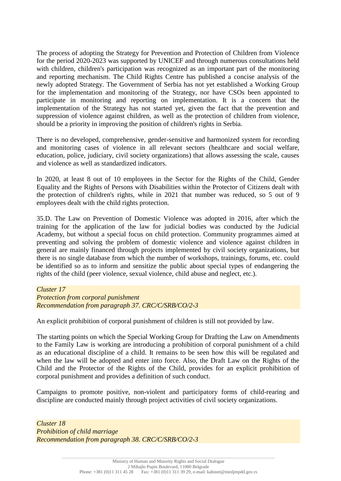The process of adopting the Strategy for Prevention and Protection of Children from Violence for the period 2020-2023 was supported by UNICEF and through numerous consultations held with children, children's participation was recognized as an important part of the monitoring and reporting mechanism. The Child Rights Centre has published a concise analysis of the newly adopted Strategy. The Government of Serbia has not yet established a Working Group for the implementation and monitoring of the Strategy, nor have CSOs been appointed to participate in monitoring and reporting on implementation. It is a concern that the implementation of the Strategy has not started yet, given the fact that the prevention and suppression of violence against children, as well as the protection of children from violence, should be a priority in improving the position of children's rights in Serbia.

There is no developed, comprehensive, gender-sensitive and harmonized system for recording and monitoring cases of violence in all relevant sectors (healthcare and social welfare, education, police, judiciary, civil society organizations) that allows assessing the scale, causes and violence as well as standardized indicators.

In 2020, at least 8 out of 10 employees in the Sector for the Rights of the Child, Gender Equality and the Rights of Persons with Disabilities within the Protector of Citizens dealt with the protection of children's rights, while in 2021 that number was reduced, so 5 out of 9 employees dealt with the child rights protection.

35.D. The Law on Prevention of Domestic Violence was adopted in 2016, after which the training for the application of the law for judicial bodies was conducted by the Judicial Academy, but without a special focus on child protection. Community programmes aimed at preventing and solving the problem of domestic violence and violence against children in general are mainly financed through projects implemented by civil society organizations, but there is no single database from which the number of workshops, trainings, forums, etc. could be identified so as to inform and sensitize the public about special types of endangering the rights of the child (peer violence, sexual violence, child abuse and neglect, etc.).

#### *Cluster 17*

*Protection from corporal punishment Recommendation from paragraph 37. CRC/C/SRB/CO/2-3*

An explicit prohibition of corporal punishment of children is still not provided by law.

The starting points on which the Special Working Group for Drafting the Law on Amendments to the Family Law is working are introducing a prohibition of corporal punishment of a child as an educational discipline of a child. It remains to be seen how this will be regulated and when the law will be adopted and enter into force. Also, the Draft Law on the Rights of the Child and the Protector of the Rights of the Child, provides for an explicit prohibition of corporal punishment and provides a definition of such conduct.

Campaigns to promote positive, non-violent and participatory forms of child-rearing and discipline are conducted mainly through project activities of civil society organizations.

*Cluster 18 Prohibition of child marriage Recommendation from paragraph 38. CRC/C/SRB/CO/2-3*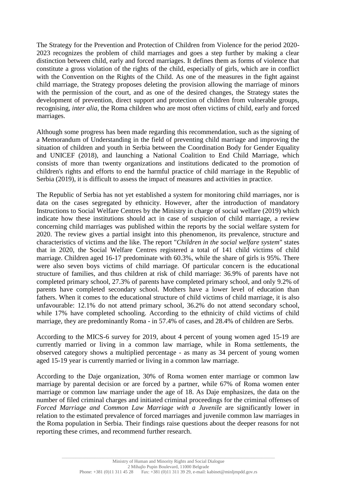The Strategy for the Prevention and Protection of Children from Violence for the period 2020- 2023 recognizes the problem of child marriages and goes a step further by making a clear distinction between child, early and forced marriages. It defines them as forms of violence that constitute a gross violation of the rights of the child, especially of girls, which are in conflict with the Convention on the Rights of the Child. As one of the measures in the fight against child marriage, the Strategy proposes deleting the provision allowing the marriage of minors with the permission of the court, and as one of the desired changes, the Strategy states the development of prevention, direct support and protection of children from vulnerable groups, recognising, *inter alia,* the Roma children who are most often victims of child, early and forced marriages.

Although some progress has been made regarding this recommendation, such as the signing of a Memorandum of Understanding in the field of preventing child marriage and improving the situation of children and youth in Serbia between the Coordination Body for Gender Equality and UNICEF (2018), and launching a National Coalition to End Child Marriage, which consists of more than twenty organizations and institutions dedicated to the promotion of children's rights and efforts to end the harmful practice of child marriage in the Republic of Serbia (2019), it is difficult to assess the impact of measures and activities in practice.

The Republic of Serbia has not yet established a system for monitoring child marriages, nor is data on the cases segregated by ethnicity. However, after the introduction of mandatory Instructions to Social Welfare Centres by the Ministry in charge of social welfare (2019) which indicate how these institutions should act in case of suspicion of child marriage, a review concerning child marriages was published within the reports by the social welfare system for 2020. The review gives a partial insight into this phenomenon, its prevalence, structure and characteristics of victims and the like. The report "*Children in the social welfare system*" states that in 2020, the Social Welfare Centres registered a total of 141 child victims of child marriage. Children aged 16-17 predominate with 60.3%, while the share of girls is 95%. There were also seven boys victims of child marriage. Of particular concern is the educational structure of families, and thus children at risk of child marriage: 36.9% of parents have not completed primary school, 27.3% of parents have completed primary school, and only 9.2% of parents have completed secondary school. Mothers have a lower level of education than fathers. When it comes to the educational structure of child victims of child marriage, it is also unfavourable: 12.1% do not attend primary school, 36.2% do not attend secondary school, while 17% have completed schooling. According to the ethnicity of child victims of child marriage, they are predominantly Roma - in 57.4% of cases, and 28.4% of children are Serbs.

According to the MICS-6 survey for 2019, about 4 percent of young women aged 15-19 are currently married or living in a common law marriage, while in Roma settlements, the observed category shows a multiplied percentage - as many as 34 percent of young women aged 15-19 year is currently married or living in a common law marriage.

According to the Daje organization, 30% of Roma women enter marriage or common law marriage by parental decision or are forced by a partner, while 67% of Roma women enter marriage or common law marriage under the age of 18. As Daje emphasizes, the data on the number of filed criminal charges and initiated criminal proceedings for the criminal offenses of *Forced Marriage and Common Law Marriage with a Juvenile* are significantly lower in relation to the estimated prevalence of forced marriages and juvenile common law marriages in the Roma population in Serbia. Their findings raise questions about the deeper reasons for not reporting these crimes, and recommend further research.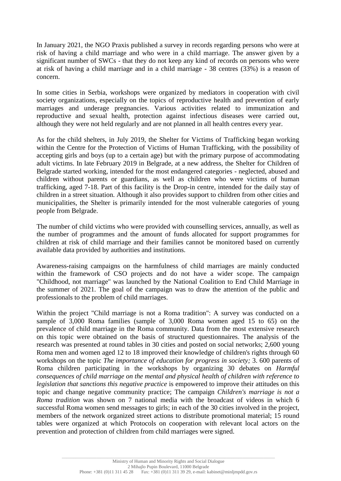In January 2021, the NGO Praxis published a survey in records regarding persons who were at risk of having a child marriage and who were in a child marriage. The answer given by a significant number of SWCs - that they do not keep any kind of records on persons who were at risk of having a child marriage and in a child marriage - 38 centres (33%) is a reason of concern.

In some cities in Serbia, workshops were organized by mediators in cooperation with civil society organizations, especially on the topics of reproductive health and prevention of early marriages and underage pregnancies. Various activities related to immunization and reproductive and sexual health, protection against infectious diseases were carried out, although they were not held regularly and are not planned in all health centres every year.

As for the child shelters, in July 2019, the Shelter for Victims of Trafficking began working within the Centre for the Protection of Victims of Human Trafficking, with the possibility of accepting girls and boys (up to a certain age) but with the primary purpose of accommodating adult victims. In late February 2019 in Belgrade, at a new address, the Shelter for Children of Belgrade started working, intended for the most endangered categories - neglected, abused and children without parents or guardians, as well as children who were victims of human trafficking, aged 7-18. Part of this facility is the Drop-in centre, intended for the daily stay of children in a street situation. Although it also provides support to children from other cities and municipalities, the Shelter is primarily intended for the most vulnerable categories of young people from Belgrade.

The number of child victims who were provided with counselling services, annually, as well as the number of programmes and the amount of funds allocated for support programmes for children at risk of child marriage and their families cannot be monitored based on currently available data provided by authorities and institutions.

Awareness-raising campaigns on the harmfulness of child marriages are mainly conducted within the framework of CSO projects and do not have a wider scope. The campaign "Childhood, not marriage" was launched by the National Coalition to End Child Marriage in the summer of 2021. The goal of the campaign was to draw the attention of the public and professionals to the problem of child marriages.

Within the project "Child marriage is not a Roma tradition": A survey was conducted on a sample of 3,000 Roma families (sample of 3,000 Roma women aged 15 to 65) on the prevalence of child marriage in the Roma community. Data from the most extensive research on this topic were obtained on the basis of structured questionnaires. The analysis of the research was presented at round tables in 30 cities and posted on social networks; 2,600 young Roma men and women aged 12 to 18 improved their knowledge of children's rights through 60 workshops on the topic *The importance of education for progress in society;* 3. 600 parents of Roma children participating in the workshops by organizing 30 debates on *Harmful consequences of child marriage on the mental and physical health of children with reference to legislation that sanctions this negative practice* is empowered to improve their attitudes on this topic and change negative community practice; The campaign *Children's marriage is not a Roma tradition* was shown on 7 national media with the broadcast of videos in which 6 successful Roma women send messages to girls; in each of the 30 cities involved in the project, members of the network organized street actions to distribute promotional material; 15 round tables were organized at which Protocols on cooperation with relevant local actors on the prevention and protection of children from child marriages were signed.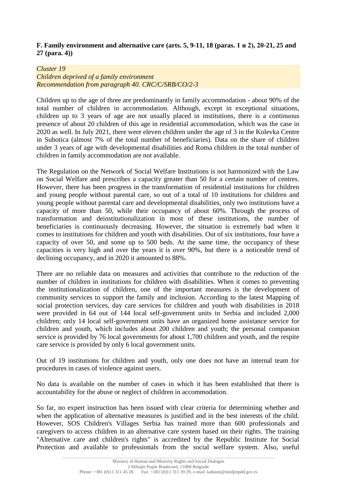### **F. Family environment and alternative care (arts. 5, 9-11, 18 (paras. 1 и 2), 20-21, 25 and 27 (para. 4))**

#### *Cluster 19*

*Children deprived of a family environment Recommendation from paragraph 40. CRC/C/SRB/CO/2-3*

Children up to the age of three are predominantly in family accommodation - about 90% of the total number of children in accommodation. Although, except in exceptional situations, children up to 3 years of age are not usually placed in institutions, there is a continuous presence of about 20 children of this age in residential accommodation, which was the case in 2020 as well. In July 2021, there were eleven children under the age of 3 in the Kolevka Centre in Subotica (almost 7% of the total number of beneficiaries). Data on the share of children under 3 years of age with developmental disabilities and Roma children in the total number of children in family accommodation are not available.

The Regulation on the Network of Social Welfare Institutions is not harmonized with the Law on Social Welfare and prescribes a capacity greater than 50 for a certain number of centres. However, there has been progress in the transformation of residential institutions for children and young people without parental care, so out of a total of 10 institutions for children and young people without parental care and developmental disabilities, only two institutions have a capacity of more than 50, while their occupancy of about 60%. Through the process of transformation and deinstitutionalization in most of these institutions, the number of beneficiaries is continuously decreasing. However, the situation is extremely bad when it comes to institutions for children and youth with disabilities. Out of six institutions, four have a capacity of over 50, and some up to 500 beds. At the same time, the occupancy of these capacities is very high and over the years it is over 90%, but there is a noticeable trend of declining occupancy, and in 2020 it amounted to 88%.

There are no reliable data on measures and activities that contribute to the reduction of the number of children in institutions for children with disabilities. When it comes to preventing the institutionalization of children, one of the important measures is the development of community services to support the family and inclusion. According to the latest Mapping of social protection services, day care services for children and youth with disabilities in 2018 were provided in 64 out of 144 local self-government units in Serbia and included 2,000 children; only 14 local self-government units have an organized home assistance service for children and youth, which includes about 200 children and youth; the personal companion service is provided by 76 local governments for about 1,700 children and youth, and the respite care service is provided by only 6 local government units.

Out of 19 institutions for children and youth, only one does not have an internal team for procedures in cases of violence against users.

No data is available on the number of cases in which it has been established that there is accountability for the abuse or neglect of children in accommodation.

So far, no expert instruction has been issued with clear criteria for determining whether and when the application of alternative measures is justified and in the best interests of the child. However, SOS Children's Villages Serbia has trained more than 600 professionals and caregivers to access children in an alternative care system based on their rights. The training "Alternative care and children's rights" is accredited by the Republic Institute for Social Protection and available to professionals from the social welfare system. Also, useful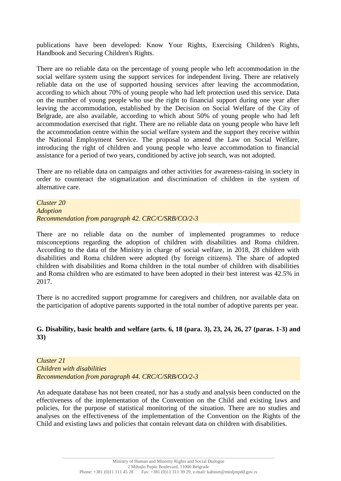publications have been developed: Know Your Rights, Exercising Children's Rights, Handbook and Securing Children's Rights.

There are no reliable data on the percentage of young people who left accommodation in the social welfare system using the support services for independent living. There are relatively reliable data on the use of supported housing services after leaving the accommodation, according to which about 70% of young people who had left protection used this service. Data on the number of young people who use the right to financial support during one year after leaving the accommodation, established by the Decision on Social Welfare of the City of Belgrade, are also available, according to which about 50% of young people who had left accommodation exercised that right. There are no reliable data on young people who have left the accommodation centre within the social welfare system and the support they receive within the National Employment Service. The proposal to amend the Law on Social Welfare, introducing the right of children and young people who leave accommodation to financial assistance for a period of two years, conditioned by active job search, was not adopted.

There are no reliable data on campaigns and other activities for awareness-raising in society in order to counteract the stigmatization and discrimination of children in the system of alternative care.

*Cluster 20 Adoption Recommendation from paragraph 42. CRC/C/SRB/CO/2-3*

There are no reliable data on the number of implemented programmes to reduce misconceptions regarding the adoption of children with disabilities and Roma children. According to the data of the Ministry in charge of social welfare, in 2018, 28 children with disabilities and Roma children were adopted (by foreign citizens). The share of adopted children with disabilities and Roma children in the total number of children with disabilities and Roma children who are estimated to have been adopted in their best interest was 42.5% in 2017.

There is no accredited support programme for caregivers and children, nor available data on the participation of adoptive parents supported in the total number of adoptive parents per year.

**G. Disability, basic health and welfare (arts. 6, 18 (para. 3), 23, 24, 26, 27 (paras. 1-3) and 33)**

*Cluster 21 Children with disabilities Recommendation from paragraph 44. CRC/C/SRB/CO/2-3*

An adequate database has not been created, nor has a study and analysis been conducted on the effectiveness of the implementation of the Convention on the Child and existing laws and policies, for the purpose of statistical monitoring of the situation. There are no studies and analyses on the effectiveness of the implementation of the Convention on the Rights of the Child and existing laws and policies that contain relevant data on children with disabilities.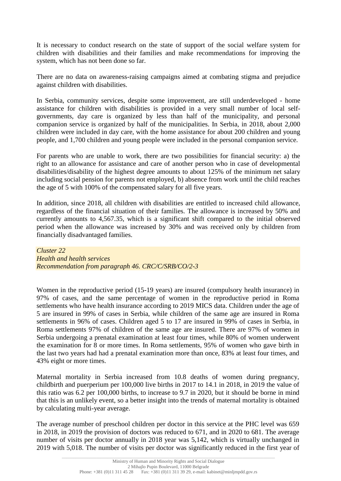It is necessary to conduct research on the state of support of the social welfare system for children with disabilities and their families and make recommendations for improving the system, which has not been done so far.

There are no data on awareness-raising campaigns aimed at combating stigma and prejudice against children with disabilities.

In Serbia, community services, despite some improvement, are still underdeveloped - home assistance for children with disabilities is provided in a very small number of local selfgovernments, day care is organized by less than half of the municipality, and personal companion service is organized by half of the municipalities. In Serbia, in 2018, about 2,000 children were included in day care, with the home assistance for about 200 children and young people, and 1,700 children and young people were included in the personal companion service.

For parents who are unable to work, there are two possibilities for financial security: a) the right to an allowance for assistance and care of another person who in case of developmental disabilities/disability of the highest degree amounts to about 125% of the minimum net salary including social pension for parents not employed, b) absence from work until the child reaches the age of 5 with 100% of the compensated salary for all five years.

In addition, since 2018, all children with disabilities are entitled to increased child allowance, regardless of the financial situation of their families. The allowance is increased by 50% and currently amounts to 4,567.35, which is a significant shift compared to the initial observed period when the allowance was increased by 30% and was received only by children from financially disadvantaged families.

*Cluster 22 Health and health services Recommendation from paragraph 46. CRC/C/SRB/CO/2-3*

Women in the reproductive period (15-19 years) are insured (compulsory health insurance) in 97% of cases, and the same percentage of women in the reproductive period in Roma settlements who have health insurance according to 2019 MICS data. Children under the age of 5 are insured in 99% of cases in Serbia, while children of the same age are insured in Roma settlements in 96% of cases. Children aged 5 to 17 are insured in 99% of cases in Serbia, in Roma settlements 97% of children of the same age are insured. There are 97% of women in Serbia undergoing a prenatal examination at least four times, while 80% of women underwent the examination for 8 or more times. In Roma settlements, 95% of women who gave birth in the last two years had had a prenatal examination more than once, 83% at least four times, and 43% eight or more times.

Maternal mortality in Serbia increased from 10.8 deaths of women during pregnancy, childbirth and puerperium per 100,000 live births in 2017 to 14.1 in 2018, in 2019 the value of this ratio was 6.2 per 100,000 births, to increase to 9.7 in 2020, but it should be borne in mind that this is an unlikely event, so a better insight into the trends of maternal mortality is obtained by calculating multi-year average.

The average number of preschool children per doctor in this service at the PHC level was 659 in 2018, in 2019 the provision of doctors was reduced to 671, and in 2020 to 681. The average number of visits per doctor annually in 2018 year was 5,142, which is virtually unchanged in 2019 with 5,018. The number of visits per doctor was significantly reduced in the first year of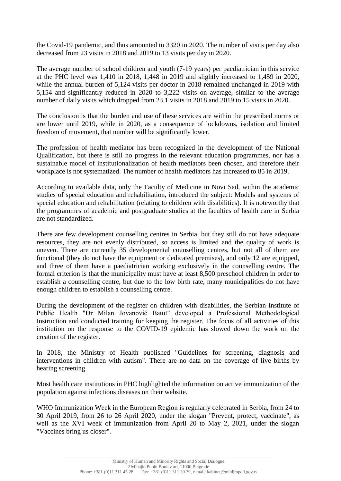the Covid-19 pandemic, and thus amounted to 3320 in 2020. The number of visits per day also decreased from 23 visits in 2018 and 2019 to 13 visits per day in 2020.

The average number of school children and youth (7-19 years) per paediatrician in this service at the PHC level was 1,410 in 2018, 1,448 in 2019 and slightly increased to 1,459 in 2020, while the annual burden of 5,124 visits per doctor in 2018 remained unchanged in 2019 with 5,154 and significantly reduced in 2020 to 3,222 visits on average, similar to the average number of daily visits which dropped from 23.1 visits in 2018 and 2019 to 15 visits in 2020.

The conclusion is that the burden and use of these services are within the prescribed norms or are lower until 2019, while in 2020, as a consequence of lockdowns, isolation and limited freedom of movement, that number will be significantly lower.

The profession of health mediator has been recognized in the development of the National Qualification, but there is still no progress in the relevant education programmes, nor has a sustainable model of institutionalization of health mediators been chosen, and therefore their workplace is not systematized. The number of health mediators has increased to 85 in 2019.

According to available data, only the Faculty of Medicine in Novi Sad, within the academic studies of special education and rehabilitation, introduced the subject: Models and systems of special education and rehabilitation (relating to children with disabilities). It is noteworthy that the programmes of academic and postgraduate studies at the faculties of health care in Serbia are not standardized.

There are few development counselling centres in Serbia, but they still do not have adequate resources, they are not evenly distributed, so access is limited and the quality of work is uneven. There are currently 35 developmental counselling centres, but not all of them are functional (they do not have the equipment or dedicated premises), and only 12 are equipped, and three of them have a paediatrician working exclusively in the counselling centre. The formal criterion is that the municipality must have at least 8,500 preschool children in order to establish a counselling centre, but due to the low birth rate, many municipalities do not have enough children to establish a counselling centre.

During the development of the register on children with disabilities, the Serbian Institute of Public Health "Dr Milan Jovanović Batut" developed a Professional Methodological Instruction and conducted training for keeping the register. The focus of all activities of this institution on the response to the COVID-19 epidemic has slowed down the work on the creation of the register.

In 2018, the Ministry of Health published "Guidelines for screening, diagnosis and interventions in children with autism". There are no data on the coverage of live births by hearing screening.

Most health care institutions in PHC highlighted the information on active immunization of the population against infectious diseases on their website.

WHO Immunization Week in the European Region is regularly celebrated in Serbia, from 24 to 30 April 2019, from 26 to 26 April 2020, under the slogan "Prevent, protect, vaccinate", as well as the XVI week of immunization from April 20 to May 2, 2021, under the slogan "Vaccines bring us closer".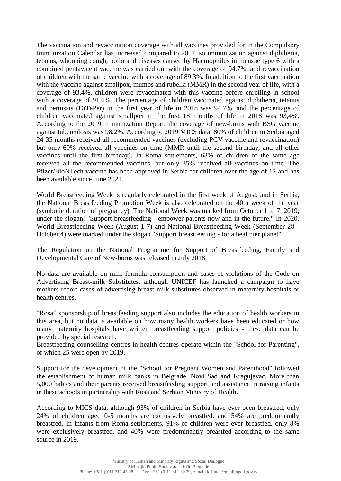The vaccination and revaccination coverage with all vaccines provided for in the Compulsory Immunization Calendar has increased compared to 2017, so immunization against diphtheria, tetanus, whooping cough, polio and diseases caused by Haemophilus influenzae type 6 with a combined pentavalent vaccine was carried out with the coverage of 94.7%, and revaccination of children with the same vaccine with a coverage of 89.3%. In addition to the first vaccination with the vaccine against smallpox, mumps and rubella (MMR) in the second year of life, with a coverage of 93.4%, children were revaccinated with this vaccine before enrolling in school with a coverage of 91.6%. The percentage of children vaccinated against diphtheria, tetanus and pertussis (DiTePer) in the first year of life in 2018 was 94.7%, and the percentage of children vaccinated against smallpox in the first 18 months of life in 2018 was 93,4%. According to the 2019 Immunization Report, the coverage of new-borns with BSG vaccine against tuberculosis was 98.2%. According to 2019 MICS data, 80% of children in Serbia aged 24-35 months received all recommended vaccines (excluding PCV vaccine and revaccination) but only 69% received all vaccines on time (MMR until the second birthday, and all other vaccines until the first birthday). In Roma settlements, 63% of children of the same age received all the recommended vaccines, but only 35% received all vaccines on time. The Pfizer/BioNTech vaccine has been approved in Serbia for children over the age of 12 and has been available since June 2021.

World Breastfeeding Week is regularly celebrated in the first week of August, and in Serbia, the National Breastfeeding Promotion Week is also celebrated on the 40th week of the year (symbolic duration of pregnancy). The National Week was marked from October 1 to 7, 2019, under the slogan: "Support breastfeeding - empower parents now and in the future." In 2020, World Breastfeeding Week (August 1-7) and National Breastfeeding Week (September 28 - October 4) were marked under the slogan "Support breastfeeding - for a healthier planet".

The Regulation on the National Programme for Support of Breastfeeding, Family and Developmental Care of New-borns was released in July 2018.

No data are available on milk formula consumption and cases of violations of the Code on Advertising Breast-milk Substitutes, although UNICEF has launched a campaign to have mothers report cases of advertising breast-milk substitutes observed in maternity hospitals or health centres.

"Rosa" sponsorship of breastfeeding support also includes the education of health workers in this area, but no data is available on how many health workers have been educated or how many maternity hospitals have written breastfeeding support policies - these data can be provided by special research.

Breastfeeding counselling centres in health centres operate within the "School for Parenting", of which 25 were open by 2019.

Support for the development of the "School for Pregnant Women and Parenthood" followed the establishment of human milk banks in Belgrade, Novi Sad and Kragujevac. More than 5,000 babies and their parents received breastfeeding support and assistance in raising infants in these schools in partnership with Rosa and Serbian Ministry of Health.

According to MICS data, although 93% of children in Serbia have ever been breastfed, only 24% of children aged 0-5 months are exclusively breastfed, and 54% are predominantly breastfed. In infants from Roma settlements, 91% of children were ever breastfed, only 8% were exclusively breastfed, and 40% were predominantly breastfed according to the same source in 2019.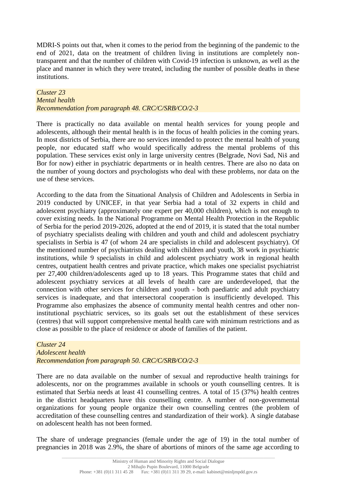MDRI-S points out that, when it comes to the period from the beginning of the pandemic to the end of 2021, data on the treatment of children living in institutions are completely nontransparent and that the number of children with Covid-19 infection is unknown, as well as the place and manner in which they were treated, including the number of possible deaths in these institutions.

### *Cluster 23 Mental health Recommendation from paragraph 48. CRC/C/SRB/CO/2-3*

There is practically no data available on mental health services for young people and adolescents, although their mental health is in the focus of health policies in the coming years. In most districts of Serbia, there are no services intended to protect the mental health of young people, nor educated staff who would specifically address the mental problems of this population. These services exist only in large university centres (Belgrade, Novi Sad, Niš and Bor for now) either in psychiatric departments or in health centres. There are also no data on the number of young doctors and psychologists who deal with these problems, nor data on the use of these services.

According to the data from the Situational Analysis of Children and Adolescents in Serbia in 2019 conducted by UNICEF, in that year Serbia had a total of 32 experts in child and adolescent psychiatry (approximately one expert per 40,000 children), which is not enough to cover existing needs. In the National Programme on Mental Health Protection in the Republic of Serbia for the period 2019-2026, adopted at the end of 2019, it is stated that the total number of psychiatry specialists dealing with children and youth and child and adolescent psychiatry specialists in Serbia is 47 (of whom 24 are specialists in child and adolescent psychiatry). Of the mentioned number of psychiatrists dealing with children and youth, 38 work in psychiatric institutions, while 9 specialists in child and adolescent psychiatry work in regional health centres, outpatient health centres and private practice, which makes one specialist psychiatrist per 27,400 children/adolescents aged up to 18 years. This Programme states that child and adolescent psychiatry services at all levels of health care are underdeveloped, that the connection with other services for children and youth - both paediatric and adult psychiatry services is inadequate, and that intersectoral cooperation is insufficiently developed. This Programme also emphasizes the absence of community mental health centres and other noninstitutional psychiatric services, so its goals set out the establishment of these services (centres) that will support comprehensive mental health care with minimum restrictions and as close as possible to the place of residence or abode of families of the patient.

#### *Cluster 24 Adolescent health Recommendation from paragraph 50. CRC/C/SRB/CO/2-3*

There are no data available on the number of sexual and reproductive health trainings for adolescents, nor on the programmes available in schools or youth counselling centres. It is estimated that Serbia needs at least 41 counselling centres. A total of 15 (37%) health centres in the district headquarters have this counselling centre. A number of non-governmental organizations for young people organize their own counselling centres (the problem of accreditation of these counselling centres and standardization of their work). A single database on adolescent health has not been formed.

The share of underage pregnancies (female under the age of 19) in the total number of pregnancies in 2018 was 2.9%, the share of abortions of minors of the same age according to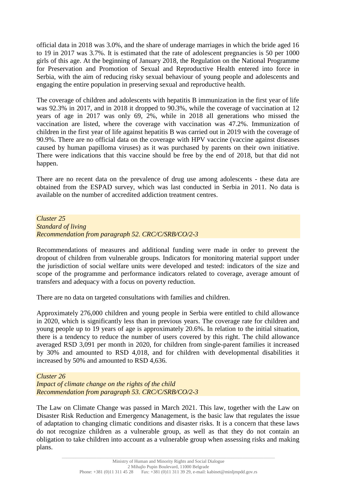official data in 2018 was 3.0%, and the share of underage marriages in which the bride aged 16 to 19 in 2017 was 3.7%. It is estimated that the rate of adolescent pregnancies is 50 per 1000 girls of this age. At the beginning of January 2018, the Regulation on the National Programme for Preservation and Promotion of Sexual and Reproductive Health entered into force in Serbia, with the aim of reducing risky sexual behaviour of young people and adolescents and engaging the entire population in preserving sexual and reproductive health.

The coverage of children and adolescents with hepatitis B immunization in the first year of life was 92.3% in 2017, and in 2018 it dropped to 90.3%, while the coverage of vaccination at 12 years of age in 2017 was only 69, 2%, while in 2018 all generations who missed the vaccination are listed, where the coverage with vaccination was 47.2%. Immunization of children in the first year of life against hepatitis B was carried out in 2019 with the coverage of 90.9%. There are no official data on the coverage with HPV vaccine (vaccine against diseases caused by human papilloma viruses) as it was purchased by parents on their own initiative. There were indications that this vaccine should be free by the end of 2018, but that did not happen.

There are no recent data on the prevalence of drug use among adolescents - these data are obtained from the ESPAD survey, which was last conducted in Serbia in 2011. No data is available on the number of accredited addiction treatment centres.

*Cluster 25 Standard of living Recommendation from paragraph 52. CRC/C/SRB/CO/2-3*

Recommendations of measures and additional funding were made in order to prevent the dropout of children from vulnerable groups. Indicators for monitoring material support under the jurisdiction of social welfare units were developed and tested: indicators of the size and scope of the programme and performance indicators related to coverage, average amount of transfers and adequacy with a focus on poverty reduction.

There are no data on targeted consultations with families and children.

Approximately 276,000 children and young people in Serbia were entitled to child allowance in 2020, which is significantly less than in previous years. The coverage rate for children and young people up to 19 years of age is approximately 20.6%. In relation to the initial situation, there is a tendency to reduce the number of users covered by this right. The child allowance averaged RSD 3,091 per month in 2020, for children from single-parent families it increased by 30% and amounted to RSD 4,018, and for children with developmental disabilities it increased by 50% and amounted to RSD 4,636.

*Cluster 26 Impact of climate change on the rights of the child Recommendation from paragraph 53. CRC/C/SRB/CO/2-3*

The Law on Climate Change was passed in March 2021. This law, together with the Law on Disaster Risk Reduction and Emergency Management, is the basic law that regulates the issue of adaptation to changing climatic conditions and disaster risks. It is a concern that these laws do not recognize children as a vulnerable group, as well as that they do not contain an obligation to take children into account as a vulnerable group when assessing risks and making plans.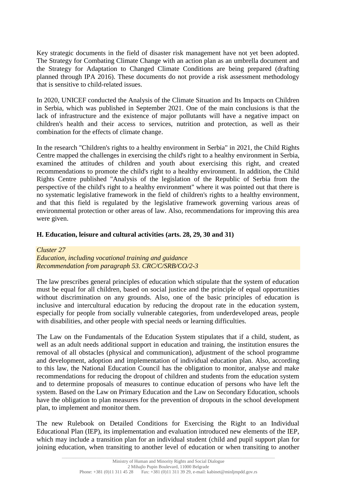Key strategic documents in the field of disaster risk management have not yet been adopted. The Strategy for Combating Climate Change with an action plan as an umbrella document and the Strategy for Adaptation to Changed Climate Conditions are being prepared (drafting planned through IPA 2016). These documents do not provide a risk assessment methodology that is sensitive to child-related issues.

In 2020, UNICEF conducted the Analysis of the Climate Situation and Its Impacts on Children in Serbia, which was published in September 2021. One of the main conclusions is that the lack of infrastructure and the existence of major pollutants will have a negative impact on children's health and their access to services, nutrition and protection, as well as their combination for the effects of climate change.

In the research "Children's rights to a healthy environment in Serbia" in 2021, the Child Rights Centre mapped the challenges in exercising the child's right to a healthy environment in Serbia, examined the attitudes of children and youth about exercising this right, and created recommendations to promote the child's right to a healthy environment. In addition, the Child Rights Centre published "Analysis of the legislation of the Republic of Serbia from the perspective of the child's right to a healthy environment" where it was pointed out that there is no systematic legislative framework in the field of children's rights to a healthy environment, and that this field is regulated by the legislative framework governing various areas of environmental protection or other areas of law. Also, recommendations for improving this area were given.

#### **H. Education, leisure and cultural activities (arts. 28, 29, 30 and 31)**

*Cluster 27 Education, including vocational training and guidance Recommendation from paragraph 53. CRC/C/SRB/CO/2-3*

The law prescribes general principles of education which stipulate that the system of education must be equal for all children, based on social justice and the principle of equal opportunities without discrimination on any grounds. Also, one of the basic principles of education is inclusive and intercultural education by reducing the dropout rate in the education system, especially for people from socially vulnerable categories, from underdeveloped areas, people with disabilities, and other people with special needs or learning difficulties.

The Law on the Fundamentals of the Education System stipulates that if a child, student, as well as an adult needs additional support in education and training, the institution ensures the removal of all obstacles (physical and communication), adjustment of the school programme and development, adoption and implementation of individual education plan. Also, according to this law, the National Education Council has the obligation to monitor, analyse and make recommendations for reducing the dropout of children and students from the education system and to determine proposals of measures to continue education of persons who have left the system. Based on the Law on Primary Education and the Law on Secondary Education, schools have the obligation to plan measures for the prevention of dropouts in the school development plan, to implement and monitor them.

The new Rulebook on Detailed Conditions for Exercising the Right to an Individual Educational Plan (IEP), its implementation and evaluation introduced new elements of the IEP, which may include a transition plan for an individual student (child and pupil support plan for joining education, when transiting to another level of education or when transiting to another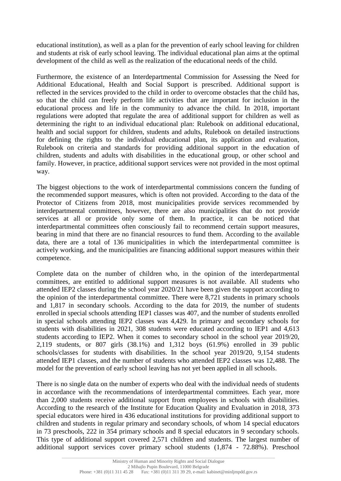educational institution), as well as a plan for the prevention of early school leaving for children and students at risk of early school leaving. The individual educational plan aims at the optimal development of the child as well as the realization of the educational needs of the child.

Furthermore, the existence of an Interdepartmental Commission for Assessing the Need for Additional Educational, Health and Social Support is prescribed. Additional support is reflected in the services provided to the child in order to overcome obstacles that the child has, so that the child can freely perform life activities that are important for inclusion in the educational process and life in the community to advance the child. In 2018, important regulations were adopted that regulate the area of additional support for children as well as determining the right to an individual educational plan: Rulebook on additional educational, health and social support for children, students and adults, Rulebook on detailed instructions for defining the rights to the individual educational plan, its application and evaluation, Rulebook on criteria and standards for providing additional support in the education of children, students and adults with disabilities in the educational group, or other school and family. However, in practice, additional support services were not provided in the most optimal way.

The biggest objections to the work of interdepartmental commissions concern the funding of the recommended support measures, which is often not provided. According to the data of the Protector of Citizens from 2018, most municipalities provide services recommended by interdepartmental committees, however, there are also municipalities that do not provide services at all or provide only some of them. In practice, it can be noticed that interdepartmental committees often consciously fail to recommend certain support measures, bearing in mind that there are no financial resources to fund them. According to the available data, there are a total of 136 municipalities in which the interdepartmental committee is actively working, and the municipalities are financing additional support measures within their competence.

Complete data on the number of children who, in the opinion of the interdepartmental committees, are entitled to additional support measures is not available. All students who attended IEP2 classes during the school year 2020/21 have been given the support according to the opinion of the interdepartmental committee. There were 8,721 students in primary schools and 1,817 in secondary schools. According to the data for 2019, the number of students enrolled in special schools attending IEP1 classes was 407, and the number of students enrolled in special schools attending IEP2 classes was 4,429. In primary and secondary schools for students with disabilities in 2021, 308 students were educated according to IEP1 and 4,613 students according to IEP2. When it comes to secondary school in the school year 2019/20, 2,119 students, or 807 girls (38.1%) and 1,312 boys (61.9%) enrolled in 39 public schools/classes for students with disabilities. In the school year 2019/20, 9,154 students attended IEP1 classes, and the number of students who attended IEP2 classes was 12,488. The model for the prevention of early school leaving has not yet been applied in all schools.

There is no single data on the number of experts who deal with the individual needs of students in accordance with the recommendations of interdepartmental committees. Each year, more than 2,000 students receive additional support from employees in schools with disabilities. According to the research of the Institute for Education Quality and Evaluation in 2018, 373 special educators were hired in 436 educational institutions for providing additional support to children and students in regular primary and secondary schools, of whom 14 special educators in 73 preschools, 222 in 354 primary schools and 8 special educators in 9 secondary schools. This type of additional support covered 2,571 children and students. The largest number of additional support services cover primary school students (1,874 - 72.88%). Preschool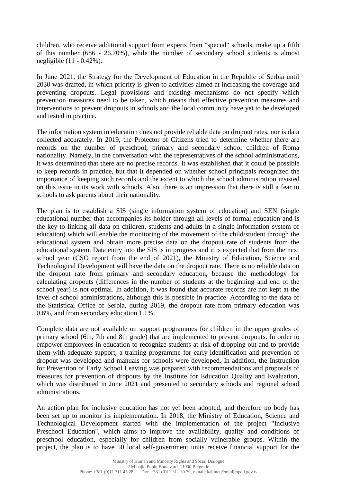children, who receive additional support from experts from "special" schools, make up a fifth of this number (686 - 26.70%), while the number of secondary school students is almost negligible (11 - 0.42%).

In June 2021, the Strategy for the Development of Education in the Republic of Serbia until 2030 was drafted, in which priority is given to activities aimed at increasing the coverage and preventing dropouts. Legal provisions and existing mechanisms do not specify which prevention measures need to be taken, which means that effective prevention measures and interventions to prevent dropouts in schools and the local community have yet to be developed and tested in practice.

The information system in education does not provide reliable data on dropout rates, nor is data collected accurately. In 2019, the Protector of Citizens tried to determine whether there are records on the number of preschool, primary and secondary school children of Roma nationality. Namely, in the conversation with the representatives of the school administrations, it was determined that there are no precise records. It was established that it could be possible to keep records in practice, but that it depended on whether school principals recognized the importance of keeping such records and the extent to which the school administration insisted on this issue in its work with schools. Also, there is an impression that there is still a fear in schools to ask parents about their nationality.

The plan is to establish a SIS (single information system of education) and SEN (single educational number that accompanies its holder through all levels of formal education and is the key to linking all data on children, students and adults in a single information system of education) which will enable the monitoring of the movement of the child/student through the educational system and obtain more precise data on the dropout rate of students from the educational system. Data entry into the SIS is in progress and it is expected that from the next school year (CSO report from the end of 2021), the Ministry of Education, Science and Technological Development will have the data on the dropout rate. There is no reliable data on the dropout rate from primary and secondary education, because the methodology for calculating dropouts (differences in the number of students at the beginning and end of the school year) is not optimal. In addition, it was found that accurate records are not kept at the level of school administrations, although this is possible in practice. According to the data of the Statistical Office of Serbia, during 2019, the dropout rate from primary education was 0.6%, and from secondary education 1.1%.

Complete data are not available on support programmes for children in the upper grades of primary school (6th, 7th and 8th grade) that are implemented to prevent dropouts. In order to empower employees in education to recognize students at risk of dropping out and to provide them with adequate support, a training programme for early identification and prevention of dropout was developed and manuals for schools were developed. In addition, the Instruction for Prevention of Early School Leaving was prepared with recommendations and proposals of measures for prevention of dropouts by the Institute for Education Quality and Evaluation, which was distributed in June 2021 and presented to secondary schools and regional school administrations.

An action plan for inclusive education has not yet been adopted, and therefore no body has been set up to monitor its implementation. In 2018, the Ministry of Education, Science and Technological Development started with the implementation of the project "Inclusive Preschool Education", which aims to improve the availability, quality and conditions of preschool education, especially for children from socially vulnerable groups. Within the project, the plan is to have 50 local self-government units receive financial support for the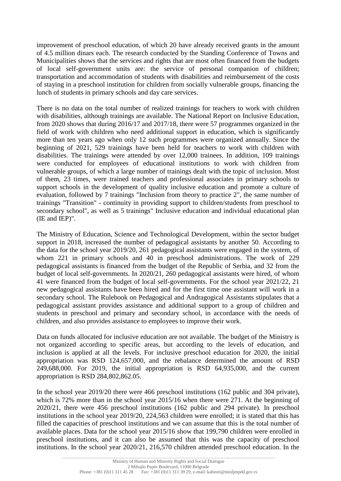improvement of preschool education, of which 20 have already received grants in the amount of 4.5 million dinars each. The research conducted by the Standing Conference of Towns and Municipalities shows that the services and rights that are most often financed from the budgets of local self-government units are: the service of personal companion of children; transportation and accommodation of students with disabilities and reimbursement of the costs of staying in a preschool institution for children from socially vulnerable groups, financing the lunch of students in primary schools and day care services.

There is no data on the total number of realized trainings for teachers to work with children with disabilities, although trainings are available. The National Report on Inclusive Education, from 2020 shows that during 2016/17 and 2017/18, there were 57 programmes organized in the field of work with children who need additional support in education, which is significantly more than ten years ago when only 12 such programmes were organized annually. Since the beginning of 2021, 529 trainings have been held for teachers to work with children with disabilities. The trainings were attended by over 12,000 trainees. In addition, 109 trainings were conducted for employees of educational institutions to work with children from vulnerable groups, of which a large number of trainings dealt with the topic of inclusion. Most of them, 23 times, were trained teachers and professional associates in primary schools to support schools in the development of quality inclusive education and promote a culture of evaluation, followed by 7 trainings "Inclusion from theory to practice 2", the same number of trainings "Transition" - continuity in providing support to children/students from preschool to secondary school", as well as 5 trainings" Inclusive education and individual educational plan (IE and IEP)".

The Ministry of Education, Science and Technological Development, within the sector budget support in 2018, increased the number of pedagogical assistants by another 50. According to the data for the school year 2019/20, 261 pedagogical assistants were engaged in the system, of whom 221 in primary schools and 40 in preschool administrations. The work of 229 pedagogical assistants is financed from the budget of the Republic of Serbia, and 32 from the budget of local self-governments. In 2020/21, 260 pedagogical assistants were hired, of whom 41 were financed from the budget of local self-governments. For the school year 2021/22, 21 new pedagogical assistants have been hired and for the first time one assistant will work in a secondary school. The Rulebook on Pedagogical and Andragogical Assistants stipulates that a pedagogical assistant provides assistance and additional support to a group of children and students in preschool and primary and secondary school, in accordance with the needs of children, and also provides assistance to employees to improve their work.

Data on funds allocated for inclusive education are not available. The budget of the Ministry is not organized according to specific areas, but according to the levels of education, and inclusion is applied at all the levels. For inclusive preschool education for 2020, the initial appropriation was RSD 124,657,000, and the rebalance determined the amount of RSD 249,688,000. For 2019, the initial appropriation is RSD 64,935,000, and the current appropriation is RSD 284,802,862.05.

In the school year 2019/20 there were 466 preschool institutions (162 public and 304 private), which is 72% more than in the school year 2015/16 when there were 271. At the beginning of 2020/21, there were 456 preschool institutions (162 public and 294 private). In preschool institutions in the school year 2019/20, 224,563 children were enrolled; it is stated that this has filled the capacities of preschool institutions and we can assume that this is the total number of available places. Data for the school year 2015/16 show that 199,790 children were enrolled in preschool institutions, and it can also be assumed that this was the capacity of preschool institutions. In the school year 2020/21, 216,570 children attended preschool education. In the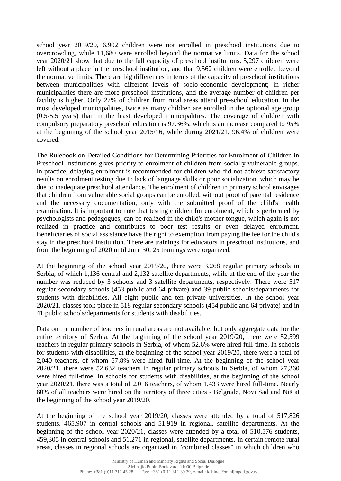school year 2019/20, 6,902 children were not enrolled in preschool institutions due to overcrowding, while 11,680 were enrolled beyond the normative limits. Data for the school year 2020/21 show that due to the full capacity of preschool institutions, 5,297 children were left without a place in the preschool institution, and that 9,562 children were enrolled beyond the normative limits. There are big differences in terms of the capacity of preschool institutions between municipalities with different levels of socio-economic development; in richer municipalities there are more preschool institutions, and the average number of children per facility is higher. Only 27% of children from rural areas attend pre-school education. In the most developed municipalities, twice as many children are enrolled in the optional age group (0.5-5.5 years) than in the least developed municipalities. The coverage of children with compulsory preparatory preschool education is 97.36%, which is an increase compared to 95% at the beginning of the school year 2015/16, while during 2021/21, 96.4% of children were covered.

The Rulebook on Detailed Conditions for Determining Priorities for Enrolment of Children in Preschool Institutions gives priority to enrolment of children from socially vulnerable groups. In practice, delaying enrolment is recommended for children who did not achieve satisfactory results on enrolment testing due to lack of language skills or poor socialization, which may be due to inadequate preschool attendance. The enrolment of children in primary school envisages that children from vulnerable social groups can be enrolled, without proof of parental residence and the necessary documentation, only with the submitted proof of the child's health examination. It is important to note that testing children for enrolment, which is performed by psychologists and pedagogues, can be realized in the child's mother tongue, which again is not realized in practice and contributes to poor test results or even delayed enrolment. Beneficiaries of social assistance have the right to exemption from paying the fee for the child's stay in the preschool institution. There are trainings for educators in preschool institutions, and from the beginning of 2020 until June 30, 25 trainings were organized.

At the beginning of the school year 2019/20, there were 3,268 regular primary schools in Serbia, of which 1,136 central and 2,132 satellite departments, while at the end of the year the number was reduced by 3 schools and 3 satellite departments, respectively. There were 517 regular secondary schools (453 public and 64 private) and 39 public schools/departments for students with disabilities. All eight public and ten private universities. In the school year 2020/21, classes took place in 518 regular secondary schools (454 public and 64 private) and in 41 public schools/departments for students with disabilities.

Data on the number of teachers in rural areas are not available, but only aggregate data for the entire territory of Serbia. At the beginning of the school year 2019/20, there were 52,599 teachers in regular primary schools in Serbia, of whom 52.6% were hired full-time. In schools for students with disabilities, at the beginning of the school year 2019/20, there were a total of 2,040 teachers, of whom 67.8% were hired full-time. At the beginning of the school year 2020/21, there were 52,632 teachers in regular primary schools in Serbia, of whom 27,360 were hired full-time. In schools for students with disabilities, at the beginning of the school year 2020/21, there was a total of 2,016 teachers, of whom 1,433 were hired full-time. Nearly 60% of all teachers were hired on the territory of three cities - Belgrade, Novi Sad and Niš at the beginning of the school year 2019/20.

At the beginning of the school year 2019/20, classes were attended by a total of 517,826 students, 465,907 in central schools and 51,919 in regional, satellite departments. At the beginning of the school year 2020/21, classes were attended by a total of 510,576 students, 459,305 in central schools and 51,271 in regional, satellite departments. In certain remote rural areas, classes in regional schools are organized in "combined classes" in which children who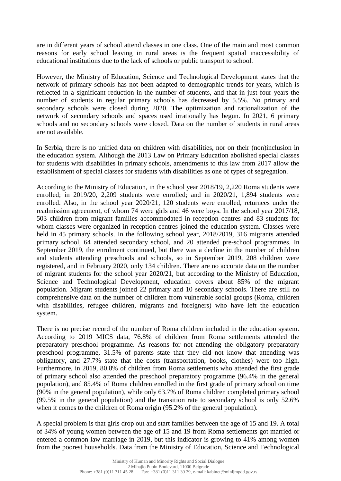are in different years of school attend classes in one class. One of the main and most common reasons for early school leaving in rural areas is the frequent spatial inaccessibility of educational institutions due to the lack of schools or public transport to school.

However, the Ministry of Education, Science and Technological Development states that the network of primary schools has not been adapted to demographic trends for years, which is reflected in a significant reduction in the number of students, and that in just four years the number of students in regular primary schools has decreased by 5.5%. No primary and secondary schools were closed during 2020. The optimization and rationalization of the network of secondary schools and spaces used irrationally has begun. In 2021, 6 primary schools and no secondary schools were closed. Data on the number of students in rural areas are not available.

In Serbia, there is no unified data on children with disabilities, nor on their (non)inclusion in the education system. Although the 2013 Law on Primary Education abolished special classes for students with disabilities in primary schools, amendments to this law from 2017 allow the establishment of special classes for students with disabilities as one of types of segregation.

According to the Ministry of Education, in the school year 2018/19, 2,220 Roma students were enrolled; in 2019/20, 2,209 students were enrolled; and in 2020/21, 1,894 students were enrolled. Also, in the school year 2020/21, 120 students were enrolled, returnees under the readmission agreement, of whom 74 were girls and 46 were boys. In the school year 2017/18, 503 children from migrant families accommodated in reception centres and 83 students for whom classes were organized in reception centres joined the education system. Classes were held in 45 primary schools. In the following school year, 2018/2019, 316 migrants attended primary school, 64 attended secondary school, and 20 attended pre-school programmes. In September 2019, the enrolment continued, but there was a decline in the number of children and students attending preschools and schools, so in September 2019, 208 children were registered, and in February 2020, only 134 children. There are no accurate data on the number of migrant students for the school year 2020/21, but according to the Ministry of Education, Science and Technological Development, education covers about 85% of the migrant population. Migrant students joined 22 primary and 10 secondary schools. There are still no comprehensive data on the number of children from vulnerable social groups (Roma, children with disabilities, refugee children, migrants and foreigners) who have left the education system.

There is no precise record of the number of Roma children included in the education system. According to 2019 MICS data, 76.8% of children from Roma settlements attended the preparatory preschool programme. As reasons for not attending the obligatory preparatory preschool programme, 31.5% of parents state that they did not know that attending was obligatory, and 27.7% state that the costs (transportation, books, clothes) were too high. Furthermore, in 2019, 80.8% of children from Roma settlements who attended the first grade of primary school also attended the preschool preparatory programme (96.4% in the general population), and 85.4% of Roma children enrolled in the first grade of primary school on time (90% in the general population), while only 63.7% of Roma children completed primary school (99.5% in the general population) and the transition rate to secondary school is only 52.6% when it comes to the children of Roma origin (95.2% of the general population).

A special problem is that girls drop out and start families between the age of 15 and 19. A total of 34% of young women between the age of 15 and 19 from Roma settlements got married or entered a common law marriage in 2019, but this indicator is growing to 41% among women from the poorest households. Data from the Ministry of Education, Science and Technological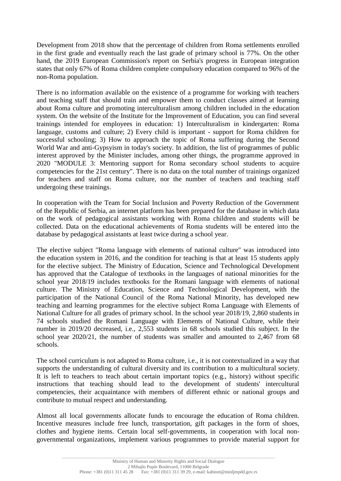Development from 2018 show that the percentage of children from Roma settlements enrolled in the first grade and eventually reach the last grade of primary school is 77%. On the other hand, the 2019 European Commission's report on Serbia's progress in European integration states that only 67% of Roma children complete compulsory education compared to 96% of the non-Roma population.

There is no information available on the existence of a programme for working with teachers and teaching staff that should train and empower them to conduct classes aimed at learning about Roma culture and promoting interculturalism among children included in the education system. On the website of the Institute for the Improvement of Education, you can find several trainings intended for employees in education: 1) Interculturalism in kindergarten: Roma language, customs and culture; 2) Every child is important - support for Roma children for successful schooling; 3) How to approach the topic of Roma suffering during the Second World War and anti-Gypsyism in today's society. In addition, the list of programmes of public interest approved by the Minister includes, among other things, the programme approved in 2020 "MODULE 3: Mentoring support for Roma secondary school students to acquire competencies for the 21st century". There is no data on the total number of trainings organized for teachers and staff on Roma culture, nor the number of teachers and teaching staff undergoing these trainings.

In cooperation with the Team for Social Inclusion and Poverty Reduction of the Government of the Republic of Serbia, an internet platform has been prepared for the database in which data on the work of pedagogical assistants working with Roma children and students will be collected. Data on the educational achievements of Roma students will be entered into the database by pedagogical assistants at least twice during a school year.

The elective subject "Roma language with elements of national culture" was introduced into the education system in 2016, and the condition for teaching is that at least 15 students apply for the elective subject. The Ministry of Education, Science and Technological Development has approved that the Catalogue of textbooks in the languages of national minorities for the school year 2018/19 includes textbooks for the Romani language with elements of national culture. The Ministry of Education, Science and Technological Development, with the participation of the National Council of the Roma National Minority, has developed new teaching and learning programmes for the elective subject Roma Language with Elements of National Culture for all grades of primary school. In the school year 2018/19, 2,860 students in 74 schools studied the Romani Language with Elements of National Culture, while their number in 2019/20 decreased, i.e., 2,553 students in 68 schools studied this subject. In the school year 2020/21, the number of students was smaller and amounted to 2,467 from 68 schools.

The school curriculum is not adapted to Roma culture, i.e., it is not contextualized in a way that supports the understanding of cultural diversity and its contribution to a multicultural society. It is left to teachers to teach about certain important topics (e.g., history) without specific instructions that teaching should lead to the development of students' intercultural competencies, their acquaintance with members of different ethnic or national groups and contribute to mutual respect and understanding.

Almost all local governments allocate funds to encourage the education of Roma children. Incentive measures include free lunch, transportation, gift packages in the form of shoes, clothes and hygiene items. Certain local self-governments, in cooperation with local nongovernmental organizations, implement various programmes to provide material support for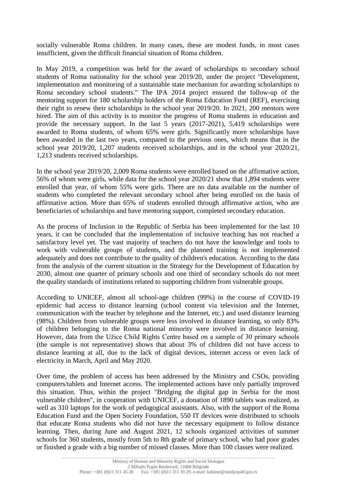socially vulnerable Roma children. In many cases, these are modest funds, in most cases insufficient, given the difficult financial situation of Roma children.

In May 2019, a competition was held for the award of scholarships to secondary school students of Roma nationality for the school year 2019/20, under the project "Development, implementation and monitoring of a sustainable state mechanism for awarding scholarships to Roma secondary school students." The IPA 2014 project ensured the follow-up of the mentoring support for 180 scholarship holders of the Roma Education Fund (REF), exercising their right to renew their scholarships in the school year 2019/20. In 2021, 200 mentors were hired. The aim of this activity is to monitor the progress of Roma students in education and provide the necessary support. In the last 5 years (2017-2021), 5,419 scholarships were awarded to Roma students, of whom 65% were girls. Significantly more scholarships have been awarded in the last two years, compared to the previous ones, which means that in the school year 2019/20, 1,207 students received scholarships, and in the school year 2020/21, 1,213 students received scholarships.

In the school year 2019/20, 2,009 Roma students were enrolled based on the affirmative action, 56% of whom were girls, while data for the school year 2020/21 show that 1,894 students were enrolled that year, of whom 55% were girls. There are no data available on the number of students who completed the relevant secondary school after being enrolled on the basis of affirmative action. More than 65% of students enrolled through affirmative action, who are beneficiaries of scholarships and have mentoring support, completed secondary education.

As the process of Inclusion in the Republic of Serbia has been implemented for the last 10 years, it can be concluded that the implementation of inclusive teaching has not reached a satisfactory level yet. The vast majority of teachers do not have the knowledge and tools to work with vulnerable groups of students, and the planned training is not implemented adequately and does not contribute to the quality of children's education. According to the data from the analysis of the current situation in the Strategy for the Development of Education by 2030, almost one quarter of primary schools and one third of secondary schools do not meet the quality standards of institutions related to supporting children from vulnerable groups.

According to UNICEF, almost all school-age children (99%) in the course of COVID-19 epidemic had access to distance learning (school content via television and the Internet, communication with the teacher by telephone and the Internet, etc.) and used distance learning (98%). Children from vulnerable groups were less involved in distance learning, so only 83% of children belonging to the Roma national minority were involved in distance learning. However, data from the Užice Child Rights Centre based on a sample of 30 primary schools (the sample is not representative) shows that about 3% of children did not have access to distance learning at all, due to the lack of digital devices, internet access or even lack of electricity in March, April and May 2020.

Over time, the problem of access has been addressed by the Ministry and CSOs, providing computers/tablets and Internet access. The implemented actions have only partially improved this situation. Thus, within the project "Bridging the digital gap in Serbia for the most vulnerable children", in cooperation with UNICEF, a donation of 1890 tablets was realized, as well as 310 laptops for the work of pedagogical assistants. Also, with the support of the Roma Education Fund and the Open Society Foundation, 550 IT devices were distributed to schools that educate Roma students who did not have the necessary equipment to follow distance learning. Then, during June and August 2021, 12 schools organized activities of summer schools for 360 students, mostly from 5th to 8th grade of primary school, who had poor grades or finished a grade with a big number of missed classes. More than 100 classes were realized.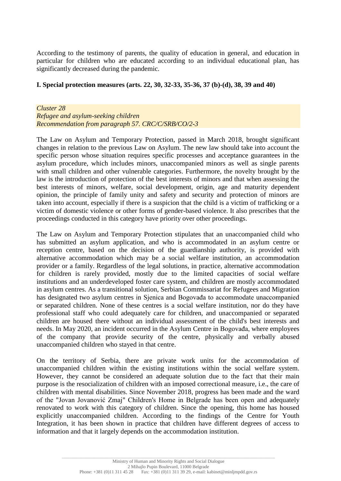According to the testimony of parents, the quality of education in general, and education in particular for children who are educated according to an individual educational plan, has significantly decreased during the pandemic.

## **I. Special protection measures (arts. 22, 30, 32-33, 35-36, 37 (b)-(d), 38, 39 and 40)**

#### *Cluster 28 Refugee and asylum-seeking children Recommendation from paragraph 57. CRC/C/SRB/CO/2-3*

The Law on Asylum and Temporary Protection, passed in March 2018, brought significant changes in relation to the previous Law on Asylum. The new law should take into account the specific person whose situation requires specific processes and acceptance guarantees in the asylum procedure, which includes minors, unaccompanied minors as well as single parents with small children and other vulnerable categories. Furthermore, the novelty brought by the law is the introduction of protection of the best interests of minors and that when assessing the best interests of minors, welfare, social development, origin, age and maturity dependent opinion, the principle of family unity and safety and security and protection of minors are taken into account, especially if there is a suspicion that the child is a victim of trafficking or a victim of domestic violence or other forms of gender-based violence. It also prescribes that the proceedings conducted in this category have priority over other proceedings.

The Law on Asylum and Temporary Protection stipulates that an unaccompanied child who has submitted an asylum application, and who is accommodated in an asylum centre or reception centre, based on the decision of the guardianship authority, is provided with alternative accommodation which may be a social welfare institution, an accommodation provider or a family. Regardless of the legal solutions, in practice, alternative accommodation for children is rarely provided, mostly due to the limited capacities of social welfare institutions and an underdeveloped foster care system, and children are mostly accommodated in asylum centres. As a transitional solution, Serbian Commissariat for Refugees and Migration has designated two asylum centres in Sjenica and Bogovađa to accommodate unaccompanied or separated children. None of these centres is a social welfare institution, nor do they have professional staff who could adequately care for children, and unaccompanied or separated children are housed there without an individual assessment of the child's best interests and needs. In May 2020, an incident occurred in the Asylum Centre in Bogovađa, where employees of the company that provide security of the centre, physically and verbally abused unaccompanied children who stayed in that centre.

On the territory of Serbia, there are private work units for the accommodation of unaccompanied children within the existing institutions within the social welfare system. However, they cannot be considered an adequate solution due to the fact that their main purpose is the resocialization of children with an imposed correctional measure, i.e., the care of children with mental disabilities. Since November 2018, progress has been made and the ward of the "Jovan Jovanović Zmaj" Children's Home in Belgrade has been open and adequately renovated to work with this category of children. Since the opening, this home has housed explicitly unaccompanied children. According to the findings of the Centre for Youth Integration, it has been shown in practice that children have different degrees of access to information and that it largely depends on the accommodation institution.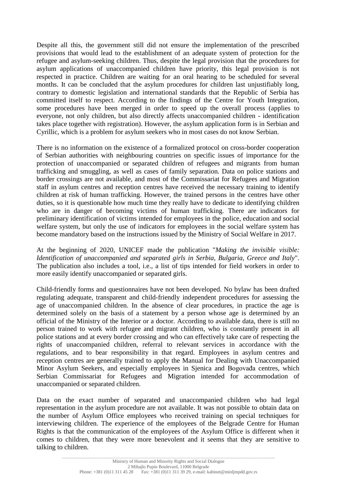Despite all this, the government still did not ensure the implementation of the prescribed provisions that would lead to the establishment of an adequate system of protection for the refugee and asylum-seeking children. Thus, despite the legal provision that the procedures for asylum applications of unaccompanied children have priority, this legal provision is not respected in practice. Children are waiting for an oral hearing to be scheduled for several months. It can be concluded that the asylum procedures for children last unjustifiably long, contrary to domestic legislation and international standards that the Republic of Serbia has committed itself to respect. According to the findings of the Centre for Youth Integration, some procedures have been merged in order to speed up the overall process (applies to everyone, not only children, but also directly affects unaccompanied children - identification takes place together with registration). However, the asylum application form is in Serbian and Cyrillic, which is a problem for asylum seekers who in most cases do not know Serbian.

There is no information on the existence of a formalized protocol on cross-border cooperation of Serbian authorities with neighbouring countries on specific issues of importance for the protection of unaccompanied or separated children of refugees and migrants from human trafficking and smuggling, as well as cases of family separation. Data on police stations and border crossings are not available, and most of the Commissariat for Refugees and Migration staff in asylum centres and reception centres have received the necessary training to identify children at risk of human trafficking. However, the trained persons in the centres have other duties, so it is questionable how much time they really have to dedicate to identifying children who are in danger of becoming victims of human trafficking. There are indicators for preliminary identification of victims intended for employees in the police, education and social welfare system, but only the use of indicators for employees in the social welfare system has become mandatory based on the instructions issued by the Ministry of Social Welfare in 2017.

At the beginning of 2020, UNICEF made the publication "*Making the invisible visible: Identification of unaccompanied and separated girls in Serbia, Bulgaria, Greece and Italy*". The publication also includes a tool, i.e., a list of tips intended for field workers in order to more easily identify unaccompanied or separated girls.

Child-friendly forms and questionnaires have not been developed. No bylaw has been drafted regulating adequate, transparent and child-friendly independent procedures for assessing the age of unaccompanied children. In the absence of clear procedures, in practice the age is determined solely on the basis of a statement by a person whose age is determined by an official of the Ministry of the Interior or a doctor. According to available data, there is still no person trained to work with refugee and migrant children, who is constantly present in all police stations and at every border crossing and who can effectively take care of respecting the rights of unaccompanied children, referral to relevant services in accordance with the regulations, and to bear responsibility in that regard. Employees in asylum centres and reception centres are generally trained to apply the Manual for Dealing with Unaccompanied Minor Asylum Seekers, and especially employees in Sjenica and Bogovađa centres, which Serbian Commissariat for Refugees and Migration intended for accommodation of unaccompanied or separated children.

Data on the exact number of separated and unaccompanied children who had legal representation in the asylum procedure are not available. It was not possible to obtain data on the number of Asylum Office employees who received training on special techniques for interviewing children. The experience of the employees of the Belgrade Centre for Human Rights is that the communication of the employees of the Asylum Office is different when it comes to children, that they were more benevolent and it seems that they are sensitive to talking to children.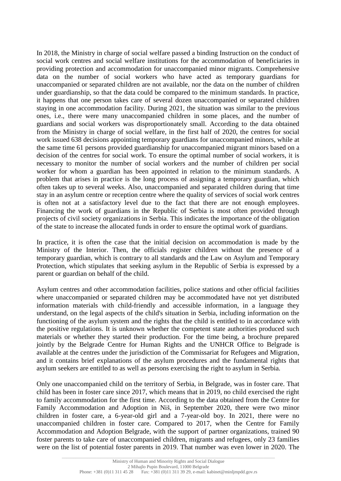In 2018, the Ministry in charge of social welfare passed a binding Instruction on the conduct of social work centres and social welfare institutions for the accommodation of beneficiaries in providing protection and accommodation for unaccompanied minor migrants. Comprehensive data on the number of social workers who have acted as temporary guardians for unaccompanied or separated children are not available, nor the data on the number of children under guardianship, so that the data could be compared to the minimum standards. In practice, it happens that one person takes care of several dozen unaccompanied or separated children staying in one accommodation facility. During 2021, the situation was similar to the previous ones, i.e., there were many unaccompanied children in some places, and the number of guardians and social workers was disproportionately small. According to the data obtained from the Ministry in charge of social welfare, in the first half of 2020, the centres for social work issued 638 decisions appointing temporary guardians for unaccompanied minors, while at the same time 61 persons provided guardianship for unaccompanied migrant minors based on a decision of the centres for social work. To ensure the optimal number of social workers, it is necessary to monitor the number of social workers and the number of children per social worker for whom a guardian has been appointed in relation to the minimum standards. A problem that arises in practice is the long process of assigning a temporary guardian, which often takes up to several weeks. Also, unaccompanied and separated children during that time stay in an asylum centre or reception centre where the quality of services of social work centres is often not at a satisfactory level due to the fact that there are not enough employees. Financing the work of guardians in the Republic of Serbia is most often provided through projects of civil society organizations in Serbia. This indicates the importance of the obligation of the state to increase the allocated funds in order to ensure the optimal work of guardians.

In practice, it is often the case that the initial decision on accommodation is made by the Ministry of the Interior. Then, the officials register children without the presence of a temporary guardian, which is contrary to all standards and the Law on Asylum and Temporary Protection, which stipulates that seeking asylum in the Republic of Serbia is expressed by a parent or guardian on behalf of the child.

Asylum centres and other accommodation facilities, police stations and other official facilities where unaccompanied or separated children may be accommodated have not yet distributed information materials with child-friendly and accessible information, in a language they understand, on the legal aspects of the child's situation in Serbia, including information on the functioning of the asylum system and the rights that the child is entitled to in accordance with the positive regulations. It is unknown whether the competent state authorities produced such materials or whether they started their production. For the time being, a brochure prepared jointly by the Belgrade Centre for Human Rights and the UNHCR Office to Belgrade is available at the centres under the jurisdiction of the Commissariat for Refugees and Migration, and it contains brief explanations of the asylum procedures and the fundamental rights that asylum seekers are entitled to as well as persons exercising the right to asylum in Serbia.

Only one unaccompanied child on the territory of Serbia, in Belgrade, was in foster care. That child has been in foster care since 2017, which means that in 2019, no child exercised the right to family accommodation for the first time. According to the data obtained from the Centre for Family Accommodation and Adoption in Niš, in September 2020, there were two minor children in foster care, a 6-year-old girl and a 7-year-old boy. In 2021, there were no unaccompanied children in foster care. Compared to 2017, when the Centre for Family Accommodation and Adoption Belgrade, with the support of partner organizations, trained 90 foster parents to take care of unaccompanied children, migrants and refugees, only 23 families were on the list of potential foster parents in 2019. That number was even lower in 2020. The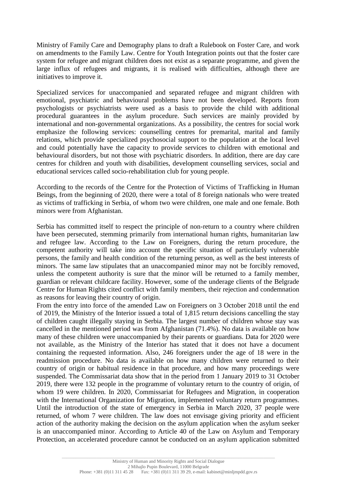Ministry of Family Care and Demography plans to draft a Rulebook on Foster Care, and work on amendments to the Family Law. Centre for Youth Integration points out that the foster care system for refugee and migrant children does not exist as a separate programme, and given the large influx of refugees and migrants, it is realised with difficulties, although there are initiatives to improve it.

Specialized services for unaccompanied and separated refugee and migrant children with emotional, psychiatric and behavioural problems have not been developed. Reports from psychologists or psychiatrists were used as a basis to provide the child with additional procedural guarantees in the asylum procedure. Such services are mainly provided by international and non-governmental organizations. As a possibility, the centres for social work emphasize the following services: counselling centres for premarital, marital and family relations, which provide specialized psychosocial support to the population at the local level and could potentially have the capacity to provide services to children with emotional and behavioural disorders, but not those with psychiatric disorders. In addition, there are day care centres for children and youth with disabilities, development counselling services, social and educational services called socio-rehabilitation club for young people.

According to the records of the Centre for the Protection of Victims of Trafficking in Human Beings, from the beginning of 2020, there were a total of 8 foreign nationals who were treated as victims of trafficking in Serbia, of whom two were children, one male and one female. Both minors were from Afghanistan.

Serbia has committed itself to respect the principle of non-return to a country where children have been persecuted, stemming primarily from international human rights, humanitarian law and refugee law. According to the Law on Foreigners, during the return procedure, the competent authority will take into account the specific situation of particularly vulnerable persons, the family and health condition of the returning person, as well as the best interests of minors. The same law stipulates that an unaccompanied minor may not be forcibly removed, unless the competent authority is sure that the minor will be returned to a family member, guardian or relevant childcare facility. However, some of the underage clients of the Belgrade Centre for Human Rights cited conflict with family members, their rejection and condemnation as reasons for leaving their country of origin.

From the entry into force of the amended Law on Foreigners on 3 October 2018 until the end of 2019, the Ministry of the Interior issued a total of 1,815 return decisions cancelling the stay of children caught illegally staying in Serbia. The largest number of children whose stay was cancelled in the mentioned period was from Afghanistan (71.4%). No data is available on how many of these children were unaccompanied by their parents or guardians. Data for 2020 were not available, as the Ministry of the Interior has stated that it does not have a document containing the requested information. Also, 246 foreigners under the age of 18 were in the readmission procedure. No data is available on how many children were returned to their country of origin or habitual residence in that procedure, and how many proceedings were suspended. The Commissariat data show that in the period from 1 January 2019 to 31 October 2019, there were 132 people in the programme of voluntary return to the country of origin, of whom 19 were children. In 2020, Commissariat for Refugees and Migration, in cooperation with the International Organization for Migration, implemented voluntary return programmes. Until the introduction of the state of emergency in Serbia in March 2020, 37 people were returned, of whom 7 were children. The law does not envisage giving priority and efficient action of the authority making the decision on the asylum application when the asylum seeker is an unaccompanied minor. According to Article 40 of the Law on Asylum and Temporary Protection, an accelerated procedure cannot be conducted on an asylum application submitted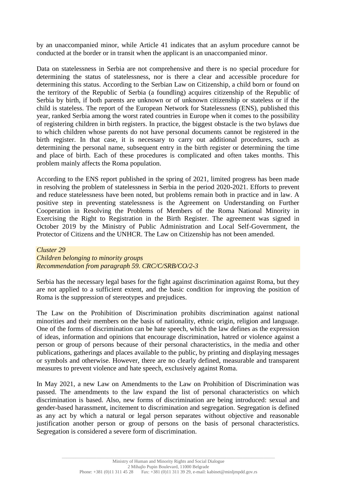by an unaccompanied minor, while Article 41 indicates that an asylum procedure cannot be conducted at the border or in transit when the applicant is an unaccompanied minor.

Data on statelessness in Serbia are not comprehensive and there is no special procedure for determining the status of statelessness, nor is there a clear and accessible procedure for determining this status. According to the Serbian Law on Citizenship, a child born or found on the territory of the Republic of Serbia (a foundling) acquires citizenship of the Republic of Serbia by birth, if both parents are unknown or of unknown citizenship or stateless or if the child is stateless. The report of the European Network for Statelessness (ENS), published this year, ranked Serbia among the worst rated countries in Europe when it comes to the possibility of registering children in birth registers. In practice, the biggest obstacle is the two bylaws due to which children whose parents do not have personal documents cannot be registered in the birth register. In that case, it is necessary to carry out additional procedures, such as determining the personal name, subsequent entry in the birth register or determining the time and place of birth. Each of these procedures is complicated and often takes months. This problem mainly affects the Roma population.

According to the ENS report published in the spring of 2021, limited progress has been made in resolving the problem of statelessness in Serbia in the period 2020-2021. Efforts to prevent and reduce statelessness have been noted, but problems remain both in practice and in law. A positive step in preventing statelessness is the Agreement on Understanding on Further Cooperation in Resolving the Problems of Members of the Roma National Minority in Exercising the Right to Registration in the Birth Register. The agreement was signed in October 2019 by the Ministry of Public Administration and Local Self-Government, the Protector of Citizens and the UNHCR. The Law on Citizenship has not been amended.

## *Cluster 29*

*Children belonging to minority groups Recommendation from paragraph 59. CRC/C/SRB/CO/2-3*

Serbia has the necessary legal bases for the fight against discrimination against Roma, but they are not applied to a sufficient extent, and the basic condition for improving the position of Roma is the suppression of stereotypes and prejudices.

The Law on the Prohibition of Discrimination prohibits discrimination against national minorities and their members on the basis of nationality, ethnic origin, religion and language. One of the forms of discrimination can be hate speech, which the law defines as the expression of ideas, information and opinions that encourage discrimination, hatred or violence against a person or group of persons because of their personal characteristics, in the media and other publications, gatherings and places available to the public, by printing and displaying messages or symbols and otherwise. However, there are no clearly defined, measurable and transparent measures to prevent violence and hate speech, exclusively against Roma.

In May 2021, a new Law on Amendments to the Law on Prohibition of Discrimination was passed. The amendments to the law expand the list of personal characteristics on which discrimination is based. Also, new forms of discrimination are being introduced: sexual and gender-based harassment, incitement to discrimination and segregation. Segregation is defined as any act by which a natural or legal person separates without objective and reasonable justification another person or group of persons on the basis of personal characteristics. Segregation is considered a severe form of discrimination.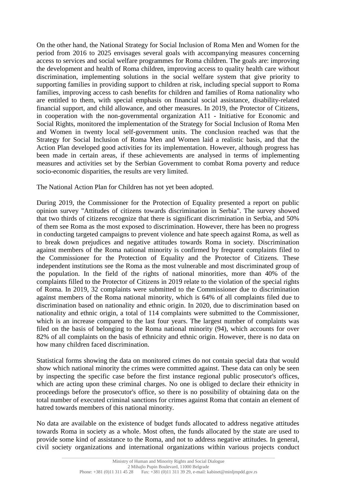On the other hand, the National Strategy for Social Inclusion of Roma Men and Women for the period from 2016 to 2025 envisages several goals with accompanying measures concerning access to services and social welfare programmes for Roma children. The goals are: improving the development and health of Roma children, improving access to quality health care without discrimination, implementing solutions in the social welfare system that give priority to supporting families in providing support to children at risk, including special support to Roma families, improving access to cash benefits for children and families of Roma nationality who are entitled to them, with special emphasis on financial social assistance, disability-related financial support, and child allowance, and other measures. In 2019, the Protector of Citizens, in cooperation with the non-governmental organization A11 - Initiative for Economic and Social Rights, monitored the implementation of the Strategy for Social Inclusion of Roma Men and Women in twenty local self-government units. The conclusion reached was that the Strategy for Social Inclusion of Roma Men and Women laid a realistic basis, and that the Action Plan developed good activities for its implementation. However, although progress has been made in certain areas, if these achievements are analysed in terms of implementing measures and activities set by the Serbian Government to combat Roma poverty and reduce socio-economic disparities, the results are very limited.

The National Action Plan for Children has not yet been adopted.

During 2019, the Commissioner for the Protection of Equality presented a report on public opinion survey "Attitudes of citizens towards discrimination in Serbia". The survey showed that two thirds of citizens recognize that there is significant discrimination in Serbia, and 50% of them see Roma as the most exposed to discrimination. However, there has been no progress in conducting targeted campaigns to prevent violence and hate speech against Roma, as well as to break down prejudices and negative attitudes towards Roma in society. Discrimination against members of the Roma national minority is confirmed by frequent complaints filed to the Commissioner for the Protection of Equality and the Protector of Citizens. These independent institutions see the Roma as the most vulnerable and most discriminated group of the population. In the field of the rights of national minorities, more than 40% of the complaints filled to the Protector of Citizens in 2019 relate to the violation of the special rights of Roma. In 2019, 32 complaints were submitted to the Commissioner due to discrimination against members of the Roma national minority, which is 64% of all complaints filed due to discrimination based on nationality and ethnic origin. In 2020, due to discrimination based on nationality and ethnic origin, a total of 114 complaints were submitted to the Commissioner, which is an increase compared to the last four years. The largest number of complaints was filed on the basis of belonging to the Roma national minority (94), which accounts for over 82% of all complaints on the basis of ethnicity and ethnic origin. However, there is no data on how many children faced discrimination.

Statistical forms showing the data on monitored crimes do not contain special data that would show which national minority the crimes were committed against. These data can only be seen by inspecting the specific case before the first instance regional public prosecutor's offices, which are acting upon these criminal charges. No one is obliged to declare their ethnicity in proceedings before the prosecutor's office, so there is no possibility of obtaining data on the total number of executed criminal sanctions for crimes against Roma that contain an element of hatred towards members of this national minority.

No data are available on the existence of budget funds allocated to address negative attitudes towards Roma in society as a whole. Most often, the funds allocated by the state are used to provide some kind of assistance to the Roma, and not to address negative attitudes. In general, civil society organizations and international organizations within various projects conduct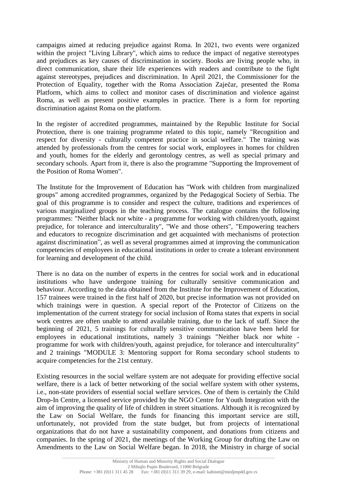campaigns aimed at reducing prejudice against Roma. In 2021, two events were organized within the project "Living Library", which aims to reduce the impact of negative stereotypes and prejudices as key causes of discrimination in society. Books are living people who, in direct communication, share their life experiences with readers and contribute to the fight against stereotypes, prejudices and discrimination. In April 2021, the Commissioner for the Protection of Equality, together with the Roma Association Zaječar, presented the Roma Platform, which aims to collect and monitor cases of discrimination and violence against Roma, as well as present positive examples in practice. There is a form for reporting discrimination against Roma on the platform.

In the register of accredited programmes, maintained by the Republic Institute for Social Protection, there is one training programme related to this topic, namely "Recognition and respect for diversity - culturally competent practice in social welfare." The training was attended by professionals from the centres for social work, employees in homes for children and youth, homes for the elderly and gerontology centres, as well as special primary and secondary schools. Apart from it, there is also the programme "Supporting the Improvement of the Position of Roma Women".

The Institute for the Improvement of Education has "Work with children from marginalized groups" among accredited programmes, organized by the Pedagogical Society of Serbia. The goal of this programme is to consider and respect the culture, traditions and experiences of various marginalized groups in the teaching process. The catalogue contains the following programmes: "Neither black nor white - a programme for working with children/youth, against prejudice, for tolerance and interculturality", "We and those others", "Empowering teachers and educators to recognize discrimination and get acquainted with mechanisms of protection against discrimination", as well as several programmes aimed at improving the communication competencies of employees in educational institutions in order to create a tolerant environment for learning and development of the child.

There is no data on the number of experts in the centres for social work and in educational institutions who have undergone training for culturally sensitive communication and behaviour. According to the data obtained from the Institute for the Improvement of Education, 157 trainees were trained in the first half of 2020, but precise information was not provided on which trainings were in question. A special report of the Protector of Citizens on the implementation of the current strategy for social inclusion of Roma states that experts in social work centres are often unable to attend available training, due to the lack of staff. Since the beginning of 2021, 5 trainings for culturally sensitive communication have been held for employees in educational institutions, namely 3 trainings "Neither black nor white programme for work with children/youth, against prejudice, for tolerance and interculturality" and 2 trainings "MODULE 3: Mentoring support for Roma secondary school students to acquire competencies for the 21st century.

Existing resources in the social welfare system are not adequate for providing effective social welfare, there is a lack of better networking of the social welfare system with other systems, i.e., non-state providers of essential social welfare services. One of them is certainly the Child Drop-In Centre, a licensed service provided by the NGO Centre for Youth Integration with the aim of improving the quality of life of children in street situations. Although it is recognized by the Law on Social Welfare, the funds for financing this important service are still, unfortunately, not provided from the state budget, but from projects of international organizations that do not have a sustainability component, and donations from citizens and companies. In the spring of 2021, the meetings of the Working Group for drafting the Law on Amendments to the Law on Social Welfare began. In 2018, the Ministry in charge of social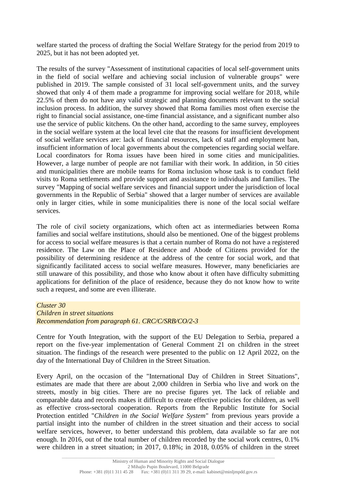welfare started the process of drafting the Social Welfare Strategy for the period from 2019 to 2025, but it has not been adopted yet.

The results of the survey "Assessment of institutional capacities of local self-government units in the field of social welfare and achieving social inclusion of vulnerable groups" were published in 2019. The sample consisted of 31 local self-government units, and the survey showed that only 4 of them made a programme for improving social welfare for 2018, while 22.5% of them do not have any valid strategic and planning documents relevant to the social inclusion process. In addition, the survey showed that Roma families most often exercise the right to financial social assistance, one-time financial assistance, and a significant number also use the service of public kitchens. On the other hand, according to the same survey, employees in the social welfare system at the local level cite that the reasons for insufficient development of social welfare services are: lack of financial resources, lack of staff and employment ban, insufficient information of local governments about the competencies regarding social welfare. Local coordinators for Roma issues have been hired in some cities and municipalities. However, a large number of people are not familiar with their work. In addition, in 50 cities and municipalities there are mobile teams for Roma inclusion whose task is to conduct field visits to Roma settlements and provide support and assistance to individuals and families. The survey "Mapping of social welfare services and financial support under the jurisdiction of local governments in the Republic of Serbia" showed that a larger number of services are available only in larger cities, while in some municipalities there is none of the local social welfare services.

The role of civil society organizations, which often act as intermediaries between Roma families and social welfare institutions, should also be mentioned. One of the biggest problems for access to social welfare measures is that a certain number of Roma do not have a registered residence. The Law on the Place of Residence and Abode of Citizens provided for the possibility of determining residence at the address of the centre for social work, and that significantly facilitated access to social welfare measures. However, many beneficiaries are still unaware of this possibility, and those who know about it often have difficulty submitting applications for definition of the place of residence, because they do not know how to write such a request, and some are even illiterate.

#### *Cluster 30 Children in street situations Recommendation from paragraph 61. CRC/C/SRB/CO/2-3*

Centre for Youth Integration, with the support of the EU Delegation to Serbia, prepared a report on the five-year implementation of General Comment 21 on children in the street situation. The findings of the research were presented to the public on 12 April 2022, on the day of the International Day of Children in the Street Situation.

Every April, on the occasion of the "International Day of Children in Street Situations", estimates are made that there are about 2,000 children in Serbia who live and work on the streets, mostly in big cities. There are no precise figures yet. The lack of reliable and comparable data and records makes it difficult to create effective policies for children, as well as effective cross-sectoral cooperation. Reports from the Republic Institute for Social Protection entitled "*Children in the Social Welfare System*" from previous years provide a partial insight into the number of children in the street situation and their access to social welfare services, however, to better understand this problem, data available so far are not enough. In 2016, out of the total number of children recorded by the social work centres, 0.1% were children in a street situation; in 2017, 0.18%; in 2018, 0.05% of children in the street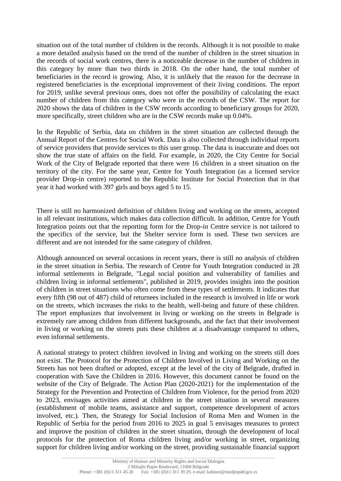situation out of the total number of children in the records. Although it is not possible to make a more detailed analysis based on the trend of the number of children in the street situation in the records of social work centres, there is a noticeable decrease in the number of children in this category by more than two thirds in 2018. On the other hand, the total number of beneficiaries in the record is growing. Also, it is unlikely that the reason for the decrease in registered beneficiaries is the exceptional improvement of their living conditions. The report for 2019, unlike several previous ones, does not offer the possibility of calculating the exact number of children from this category who were in the records of the CSW. The report for 2020 shows the data of children in the CSW records according to beneficiary groups for 2020, more specifically, street children who are in the CSW records make up 0.04%.

In the Republic of Serbia, data on children in the street situation are collected through the Annual Report of the Centres for Social Work. Data is also collected through individual reports of service providers that provide services to this user group. The data is inaccurate and does not show the true state of affairs on the field. For example, in 2020, the City Centre for Social Work of the City of Belgrade reported that there were 16 children in a street situation on the territory of the city. For the same year, Centre for Youth Integration (as a licensed service provider Drop-in centre) reported to the Republic Institute for Social Protection that in that year it had worked with 397 girls and boys aged 5 to 15.

There is still no harmonized definition of children living and working on the streets, accepted in all relevant institutions, which makes data collection difficult. In addition, Centre for Youth Integration points out that the reporting form for the Drop-in Centre service is not tailored to the specifics of the service, but the Shelter service form is used. These two services are different and are not intended for the same category of children.

Although announced on several occasions in recent years, there is still no analysis of children in the street situation in Serbia. The research of Centre for Youth Integration conducted in 28 informal settlements in Belgrade, "Legal social position and vulnerability of families and children living in informal settlements", published in 2019, provides insights into the position of children in street situations who often come from these types of settlements. It indicates that every fifth (98 out of 487) child of returnees included in the research is involved in life or work on the streets, which increases the risks to the health, well-being and future of these children. The report emphasizes that involvement in living or working on the streets in Belgrade is extremely rare among children from different backgrounds, and the fact that their involvement in living or working on the streets puts these children at a disadvantage compared to others, even informal settlements.

A national strategy to protect children involved in living and working on the streets still does not exist. The Protocol for the Protection of Children Involved in Living and Working on the Streets has not been drafted or adopted, except at the level of the city of Belgrade, drafted in cooperation with Save the Children in 2016. However, this document cannot be found on the website of the City of Belgrade. The Action Plan (2020-2021) for the implementation of the Strategy for the Prevention and Protection of Children from Violence, for the period from 2020 to 2023, envisages activities aimed at children in the street situation in several measures (establishment of mobile teams, assistance and support, competence development of actors involved, etc.). Then, the Strategy for Social Inclusion of Roma Men and Women in the Republic of Serbia for the period from 2016 to 2025 in goal 5 envisages measures to protect and improve the position of children in the street situation, through the development of local protocols for the protection of Roma children living and/or working in street, organizing support for children living and/or working on the street, providing sustainable financial support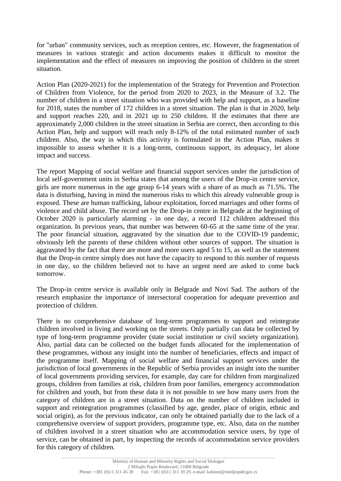for "urban" community services, such as reception centres, etc. However, the fragmentation of measures in various strategic and action documents makes it difficult to monitor the implementation and the effect of measures on improving the position of children in the street situation.

Action Plan (2020-2021) for the implementation of the Strategy for Prevention and Protection of Children from Violence, for the period from 2020 to 2023, in the Measure of 3.2. The number of children in a street situation who was provided with help and support, as a baseline for 2018, states the number of 172 children in a street situation. The plan is that in 2020, help and support reaches 220, and in 2021 up to 250 children. If the estimates that there are approximately 2,000 children in the street situation in Serbia are correct, then according to this Action Plan, help and support will reach only 8-12% of the total estimated number of such children. Also, the way in which this activity is formulated in the Action Plan, makes it impossible to assess whether it is a long-term, continuous support, its adequacy, let alone impact and success.

The report Mapping of social welfare and financial support services under the jurisdiction of local self-government units in Serbia states that among the users of the Drop-in centre service, girls are more numerous in the age group 6-14 years with a share of as much as 71.5%. The data is disturbing, having in mind the numerous risks to which this already vulnerable group is exposed. These are human trafficking, labour exploitation, forced marriages and other forms of violence and child abuse. The record set by the Drop-in centre in Belgrade at the beginning of October 2020 is particularly alarming - in one day, a record 112 children addressed this organization. In previous years, that number was between 60-65 at the same time of the year. The poor financial situation, aggravated by the situation due to the COVID-19 pandemic, obviously left the parents of these children without other sources of support. The situation is aggravated by the fact that there are more and more users aged 5 to 15, as well as the statement that the Drop-in centre simply does not have the capacity to respond to this number of requests in one day, so the children believed not to have an urgent need are asked to come back tomorrow.

The Drop-in centre service is available only in Belgrade and Novi Sad. The authors of the research emphasize the importance of intersectoral cooperation for adequate prevention and protection of children.

There is no comprehensive database of long-term programmes to support and reintegrate children involved in living and working on the streets. Only partially can data be collected by type of long-term programme provider (state social institution or civil society organization). Also, partial data can be collected on the budget funds allocated for the implementation of these programmes, without any insight into the number of beneficiaries, effects and impact of the programme itself. Mapping of social welfare and financial support services under the jurisdiction of local governments in the Republic of Serbia provides an insight into the number of local governments providing services, for example, day care for children from marginalized groups, children from families at risk, children from poor families, emergency accommodation for children and youth, but from these data it is not possible to see how many users from the category of children are in a street situation. Data on the number of children included in support and reintegration programmes (classified by age, gender, place of origin, ethnic and social origin), as for the previous indicator, can only be obtained partially due to the lack of a comprehensive overview of support providers, programme type, etc. Also, data on the number of children involved in a street situation who are accommodation service users, by type of service, can be obtained in part, by inspecting the records of accommodation service providers for this category of children.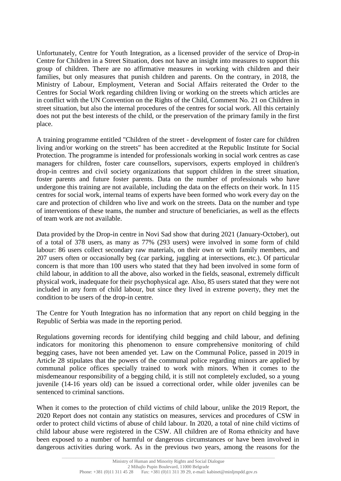Unfortunately, Centre for Youth Integration, as a licensed provider of the service of Drop-in Centre for Children in a Street Situation, does not have an insight into measures to support this group of children. There are no affirmative measures in working with children and their families, but only measures that punish children and parents. On the contrary, in 2018, the Ministry of Labour, Employment, Veteran and Social Affairs reiterated the Order to the Centres for Social Work regarding children living or working on the streets which articles are in conflict with the UN Convention on the Rights of the Child, Comment No. 21 on Children in street situation, but also the internal procedures of the centres for social work. All this certainly does not put the best interests of the child, or the preservation of the primary family in the first place.

A training programme entitled "Children of the street - development of foster care for children living and/or working on the streets" has been accredited at the Republic Institute for Social Protection. The programme is intended for professionals working in social work centres as case managers for children, foster care counsellors, supervisors, experts employed in children's drop-in centres and civil society organizations that support children in the street situation, foster parents and future foster parents. Data on the number of professionals who have undergone this training are not available, including the data on the effects on their work. In 115 centres for social work, internal teams of experts have been formed who work every day on the care and protection of children who live and work on the streets. Data on the number and type of interventions of these teams, the number and structure of beneficiaries, as well as the effects of team work are not available.

Data provided by the Drop-in centre in Novi Sad show that during 2021 (January-October), out of a total of 378 users, as many as 77% (293 users) were involved in some form of child labour: 86 users collect secondary raw materials, on their own or with family members, and 207 users often or occasionally beg (car parking, juggling at intersections, etc.). Of particular concern is that more than 100 users who stated that they had been involved in some form of child labour, in addition to all the above, also worked in the fields, seasonal, extremely difficult physical work, inadequate for their psychophysical age. Also, 85 users stated that they were not included in any form of child labour, but since they lived in extreme poverty, they met the condition to be users of the drop-in centre.

The Centre for Youth Integration has no information that any report on child begging in the Republic of Serbia was made in the reporting period.

Regulations governing records for identifying child begging and child labour, and defining indicators for monitoring this phenomenon to ensure comprehensive monitoring of child begging cases, have not been amended yet. Law on the Communal Police, passed in 2019 in Article 28 stipulates that the powers of the communal police regarding minors are applied by communal police offices specially trained to work with minors. When it comes to the misdemeanour responsibility of a begging child, it is still not completely excluded, so a young juvenile (14-16 years old) can be issued a correctional order, while older juveniles can be sentenced to criminal sanctions.

When it comes to the protection of child victims of child labour, unlike the 2019 Report, the 2020 Report does not contain any statistics on measures, services and procedures of CSW in order to protect child victims of abuse of child labour. In 2020, a total of nine child victims of child labour abuse were registered in the CSW. All children are of Roma ethnicity and have been exposed to a number of harmful or dangerous circumstances or have been involved in dangerous activities during work. As in the previous two years, among the reasons for the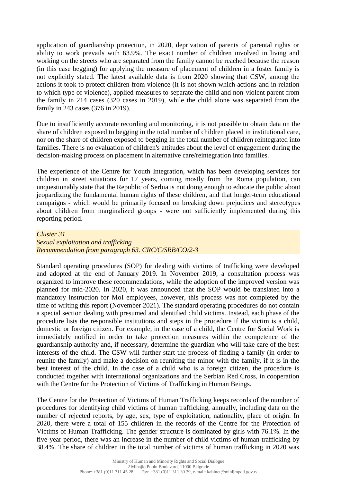application of guardianship protection, in 2020, deprivation of parents of parental rights or ability to work prevails with 63.9%. The exact number of children involved in living and working on the streets who are separated from the family cannot be reached because the reason (in this case begging) for applying the measure of placement of children in a foster family is not explicitly stated. The latest available data is from 2020 showing that CSW, among the actions it took to protect children from violence (it is not shown which actions and in relation to which type of violence), applied measures to separate the child and non-violent parent from the family in 214 cases (320 cases in 2019), while the child alone was separated from the family in 243 cases (376 in 2019).

Due to insufficiently accurate recording and monitoring, it is not possible to obtain data on the share of children exposed to begging in the total number of children placed in institutional care, nor on the share of children exposed to begging in the total number of children reintegrated into families. There is no evaluation of children's attitudes about the level of engagement during the decision-making process on placement in alternative care/reintegration into families.

The experience of the Centre for Youth Integration, which has been developing services for children in street situations for 17 years, coming mostly from the Roma population, can unquestionably state that the Republic of Serbia is not doing enough to educate the public about jeopardizing the fundamental human rights of these children, and that longer-term educational campaigns - which would be primarily focused on breaking down prejudices and stereotypes about children from marginalized groups - were not sufficiently implemented during this reporting period.

## *Cluster 31 Sexual exploitation and trafficking Recommendation from paragraph 63. CRC/C/SRB/CO/2-3*

Standard operating procedures (SOP) for dealing with victims of trafficking were developed and adopted at the end of January 2019. In November 2019, a consultation process was organized to improve these recommendations, while the adoption of the improved version was planned for mid-2020. In 2020, it was announced that the SOP would be translated into a mandatory instruction for MoI employees, however, this process was not completed by the time of writing this report (November 2021). The standard operating procedures do not contain a special section dealing with presumed and identified child victims. Instead, each phase of the procedure lists the responsible institutions and steps in the procedure if the victim is a child, domestic or foreign citizen. For example, in the case of a child, the Centre for Social Work is immediately notified in order to take protection measures within the competence of the guardianship authority and, if necessary, determine the guardian who will take care of the best interests of the child. The CSW will further start the process of finding a family (in order to reunite the family) and make a decision on reuniting the minor with the family, if it is in the best interest of the child. In the case of a child who is a foreign citizen, the procedure is conducted together with international organizations and the Serbian Red Cross, in cooperation with the Centre for the Protection of Victims of Trafficking in Human Beings.

The Centre for the Protection of Victims of Human Trafficking keeps records of the number of procedures for identifying child victims of human trafficking, annually, including data on the number of rejected reports, by age, sex, type of exploitation, nationality, place of origin. In 2020, there were a total of 155 children in the records of the Centre for the Protection of Victims of Human Trafficking. The gender structure is dominated by girls with 76.1%. In the five-year period, there was an increase in the number of child victims of human trafficking by 38.4%. The share of children in the total number of victims of human trafficking in 2020 was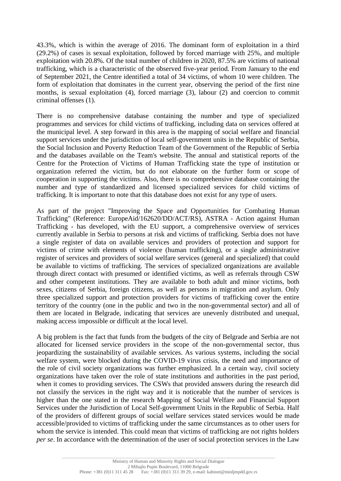43.3%, which is within the average of 2016. The dominant form of exploitation in a third (29.2%) of cases is sexual exploitation, followed by forced marriage with 25%, and multiple exploitation with 20.8%. Of the total number of children in 2020, 87.5% are victims of national trafficking, which is a characteristic of the observed five-year period. From January to the end of September 2021, the Centre identified a total of 34 victims, of whom 10 were children. The form of exploitation that dominates in the current year, observing the period of the first nine months, is sexual exploitation (4), forced marriage (3), labour (2) and coercion to commit criminal offenses (1).

There is no comprehensive database containing the number and type of specialized programmes and services for child victims of trafficking, including data on services offered at the municipal level. A step forward in this area is the mapping of social welfare and financial support services under the jurisdiction of local self-government units in the Republic of Serbia, the Social Inclusion and Poverty Reduction Team of the Government of the Republic of Serbia and the databases available on the Team's website. The annual and statistical reports of the Centre for the Protection of Victims of Human Trafficking state the type of institution or organization referred the victim, but do not elaborate on the further form or scope of cooperation in supporting the victims. Also, there is no comprehensive database containing the number and type of standardized and licensed specialized services for child victims of trafficking. It is important to note that this database does not exist for any type of users.

As part of the project "Improving the Space and Opportunities for Combating Human Trafficking" (Reference: EuropeAid/162620/DD/ACT/RS), ASTRA - Action against Human Trafficking - has developed, with the EU support, a comprehensive overview of services currently available in Serbia to persons at risk and victims of trafficking. Serbia does not have a single register of data on available services and providers of protection and support for victims of crime with elements of violence (human trafficking), or a single administrative register of services and providers of social welfare services (general and specialized) that could be available to victims of trafficking. The services of specialized organizations are available through direct contact with presumed or identified victims, as well as referrals through CSW and other competent institutions. They are available to both adult and minor victims, both sexes, citizens of Serbia, foreign citizens, as well as persons in migration and asylum. Only three specialized support and protection providers for victims of trafficking cover the entire territory of the country (one in the public and two in the non-governmental sector) and all of them are located in Belgrade, indicating that services are unevenly distributed and unequal, making access impossible or difficult at the local level.

A big problem is the fact that funds from the budgets of the city of Belgrade and Serbia are not allocated for licensed service providers in the scope of the non-governmental sector, thus jeopardizing the sustainability of available services. As various systems, including the social welfare system, were blocked during the COVID-19 virus crisis, the need and importance of the role of civil society organizations was further emphasized. In a certain way, civil society organizations have taken over the role of state institutions and authorities in the past period, when it comes to providing services. The CSWs that provided answers during the research did not classify the services in the right way and it is noticeable that the number of services is higher than the one stated in the research Mapping of Social Welfare and Financial Support Services under the Jurisdiction of Local Self-government Units in the Republic of Serbia. Half of the providers of different groups of social welfare services stated services would be made accessible/provided to victims of trafficking under the same circumstances as to other users for whom the service is intended. This could mean that victims of trafficking are not rights holders *per se*. In accordance with the determination of the user of social protection services in the Law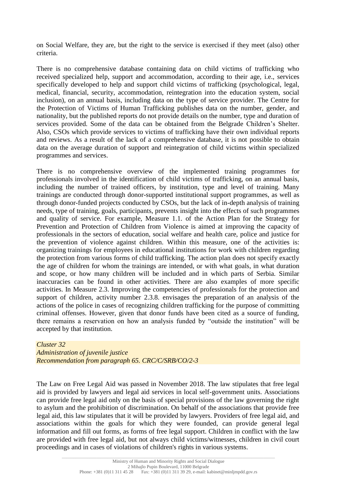on Social Welfare, they are, but the right to the service is exercised if they meet (also) other criteria.

There is no comprehensive database containing data on child victims of trafficking who received specialized help, support and accommodation, according to their age, i.e., services specifically developed to help and support child victims of trafficking (psychological, legal, medical, financial, security, accommodation, reintegration into the education system, social inclusion), on an annual basis, including data on the type of service provider. The Centre for the Protection of Victims of Human Trafficking publishes data on the number, gender, and nationality, but the published reports do not provide details on the number, type and duration of services provided. Some of the data can be obtained from the Belgrade Children's Shelter. Also, CSOs which provide services to victims of trafficking have their own individual reports and reviews. As a result of the lack of a comprehensive database, it is not possible to obtain data on the average duration of support and reintegration of child victims within specialized programmes and services.

There is no comprehensive overview of the implemented training programmes for professionals involved in the identification of child victims of trafficking, on an annual basis, including the number of trained officers, by institution, type and level of training. Many trainings are conducted through donor-supported institutional support programmes, as well as through donor-funded projects conducted by CSOs, but the lack of in-depth analysis of training needs, type of training, goals, participants, prevents insight into the effects of such programmes and quality of service. For example, Measure 1.1. of the Action Plan for the Strategy for Prevention and Protection of Children from Violence is aimed at improving the capacity of professionals in the sectors of education, social welfare and health care, police and justice for the prevention of violence against children. Within this measure, one of the activities is: organizing trainings for employees in educational institutions for work with children regarding the protection from various forms of child trafficking. The action plan does not specify exactly the age of children for whom the trainings are intended, or with what goals, in what duration and scope, or how many children will be included and in which parts of Serbia. Similar inaccuracies can be found in other activities. There are also examples of more specific activities. In Measure 2.3. Improving the competencies of professionals for the protection and support of children, activity number 2.3.8. envisages the preparation of an analysis of the actions of the police in cases of recognizing children trafficking for the purpose of committing criminal offenses. However, given that donor funds have been cited as a source of funding, there remains a reservation on how an analysis funded by "outside the institution" will be accepted by that institution.

*Cluster 32 Administration of juvenile justice Recommendation from paragraph 65. CRC/C/SRB/CO/2-3*

The Law on Free Legal Aid was passed in November 2018. The law stipulates that free legal aid is provided by lawyers and legal aid services in local self-government units. Associations can provide free legal aid only on the basis of special provisions of the law governing the right to asylum and the prohibition of discrimination. On behalf of the associations that provide free legal aid, this law stipulates that it will be provided by lawyers. Providers of free legal aid, and associations within the goals for which they were founded, can provide general legal information and fill out forms, as forms of free legal support. Children in conflict with the law are provided with free legal aid, but not always child victims/witnesses, children in civil court proceedings and in cases of violations of children's rights in various systems.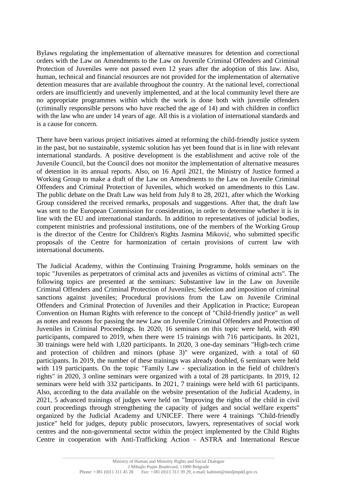Bylaws regulating the implementation of alternative measures for detention and correctional orders with the Law on Amendments to the Law on Juvenile Criminal Offenders and Criminal Protection of Juveniles were not passed even 12 years after the adoption of this law. Also, human, technical and financial resources are not provided for the implementation of alternative detention measures that are available throughout the country. At the national level, correctional orders are insufficiently and unevenly implemented, and at the local community level there are no appropriate programmes within which the work is done both with juvenile offenders (criminally responsible persons who have reached the age of 14) and with children in conflict with the law who are under 14 years of age. All this is a violation of international standards and is a cause for concern.

There have been various project initiatives aimed at reforming the child-friendly justice system in the past, but no sustainable, systemic solution has yet been found that is in line with relevant international standards. A positive development is the establishment and active role of the Juvenile Council, but the Council does not monitor the implementation of alternative measures of detention in its annual reports. Also, on 16 April 2021, the Ministry of Justice formed a Working Group to make a draft of the Law on Amendments to the Law on Juvenile Criminal Offenders and Criminal Protection of Juveniles, which worked on amendments to this Law. The public debate on the Draft Law was held from July 8 to 28, 2021, after which the Working Group considered the received remarks, proposals and suggestions. After that, the draft law was sent to the European Commission for consideration, in order to determine whether it is in line with the EU and international standards. In addition to representatives of judicial bodies, competent ministries and professional institutions, one of the members of the Working Group is the director of the Centre for Children's Rights Jasmina Miković, who submitted specific proposals of the Centre for harmonization of certain provisions of current law with international documents.

The Judicial Academy, within the Continuing Training Programme, holds seminars on the topic "Juveniles as perpetrators of criminal acts and juveniles as victims of criminal acts". The following topics are presented at the seminars: Substantive law in the Law on Juvenile Criminal Offenders and Criminal Protection of Juveniles; Selection and imposition of criminal sanctions against juveniles; Procedural provisions from the Law on Juvenile Criminal Offenders and Criminal Protection of Juveniles and their Application in Practice; European Convention on Human Rights with reference to the concept of "Child-friendly justice" as well as notes and reasons for passing the new Law on Juvenile Criminal Offenders and Protection of Juveniles in Criminal Proceedings. In 2020, 16 seminars on this topic were held, with 490 participants, compared to 2019, when there were 15 trainings with 716 participants. In 2021, 30 trainings were held with 1,020 participants. In 2020, 3 one-day seminars "High-tech crime and protection of children and minors (phase 3)" were organized, with a total of 60 participants. In 2019, the number of these trainings was already doubled, 6 seminars were held with 119 participants. On the topic "Family Law - specialization in the field of children's rights" in 2020, 3 online seminars were organized with a total of 28 participants. In 2019, 12 seminars were held with 332 participants. In 2021, 7 trainings were held with 61 participants. Also, according to the data available on the website presentation of the Judicial Academy, in 2021, 5 advanced trainings of judges were held on "Improving the rights of the child in civil court proceedings through strengthening the capacity of judges and social welfare experts" organized by the Judicial Academy and UNICEF. There were 4 trainings "Child-friendly justice" held for judges, deputy public prosecutors, lawyers, representatives of social work centres and the non-governmental sector within the project implemented by the Child Rights Centre in cooperation with Anti-Trafficking Action - ASTRA and International Rescue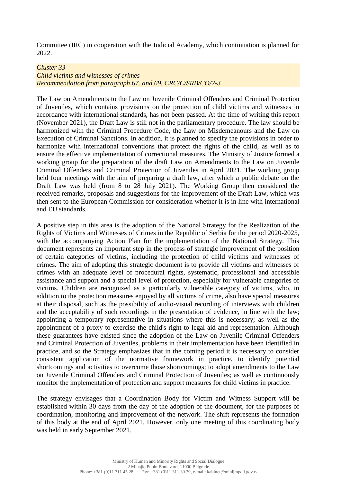Committee (IRC) in cooperation with the Judicial Academy, which continuation is planned for 2022.

#### *Cluster 33*

*Child victims and witnesses of crimes Recommendation from paragraph 67. and 69. CRC/C/SRB/CO/2-3*

The Law on Amendments to the Law on Juvenile Criminal Offenders and Criminal Protection of Juveniles, which contains provisions on the protection of child victims and witnesses in accordance with international standards, has not been passed. At the time of writing this report (November 2021), the Draft Law is still not in the parliamentary procedure. The law should be harmonized with the Criminal Procedure Code, the Law on Misdemeanours and the Law on Execution of Criminal Sanctions. In addition, it is planned to specify the provisions in order to harmonize with international conventions that protect the rights of the child, as well as to ensure the effective implementation of correctional measures. The Ministry of Justice formed a working group for the preparation of the draft Law on Amendments to the Law on Juvenile Criminal Offenders and Criminal Protection of Juveniles in April 2021. The working group held four meetings with the aim of preparing a draft law, after which a public debate on the Draft Law was held (from 8 to 28 July 2021). The Working Group then considered the received remarks, proposals and suggestions for the improvement of the Draft Law, which was then sent to the European Commission for consideration whether it is in line with international and EU standards.

A positive step in this area is the adoption of the National Strategy for the Realization of the Rights of Victims and Witnesses of Crimes in the Republic of Serbia for the period 2020-2025, with the accompanying Action Plan for the implementation of the National Strategy. This document represents an important step in the process of strategic improvement of the position of certain categories of victims, including the protection of child victims and witnesses of crimes. The aim of adopting this strategic document is to provide all victims and witnesses of crimes with an adequate level of procedural rights, systematic, professional and accessible assistance and support and a special level of protection, especially for vulnerable categories of victims. Children are recognized as a particularly vulnerable category of victims, who, in addition to the protection measures enjoyed by all victims of crime, also have special measures at their disposal, such as the possibility of audio-visual recording of interviews with children and the acceptability of such recordings in the presentation of evidence, in line with the law; appointing a temporary representative in situations where this is necessary; as well as the appointment of a proxy to exercise the child's right to legal aid and representation. Although these guarantees have existed since the adoption of the Law on Juvenile Criminal Offenders and Criminal Protection of Juveniles, problems in their implementation have been identified in practice, and so the Strategy emphasizes that in the coming period it is necessary to consider consistent application of the normative framework in practice, to identify potential shortcomings and activities to overcome those shortcomings; to adopt amendments to the Law on Juvenile Criminal Offenders and Criminal Protection of Juveniles; as well as continuously monitor the implementation of protection and support measures for child victims in practice.

The strategy envisages that a Coordination Body for Victim and Witness Support will be established within 30 days from the day of the adoption of the document, for the purposes of coordination, monitoring and improvement of the network. The shift represents the formation of this body at the end of April 2021. However, only one meeting of this coordinating body was held in early September 2021.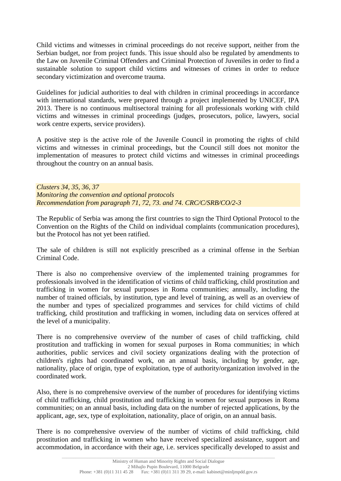Child victims and witnesses in criminal proceedings do not receive support, neither from the Serbian budget, nor from project funds. This issue should also be regulated by amendments to the Law on Juvenile Criminal Offenders and Criminal Protection of Juveniles in order to find a sustainable solution to support child victims and witnesses of crimes in order to reduce secondary victimization and overcome trauma.

Guidelines for judicial authorities to deal with children in criminal proceedings in accordance with international standards, were prepared through a project implemented by UNICEF, IPA 2013. There is no continuous multisectoral training for all professionals working with child victims and witnesses in criminal proceedings (judges, prosecutors, police, lawyers, social work centre experts, service providers).

A positive step is the active role of the Juvenile Council in promoting the rights of child victims and witnesses in criminal proceedings, but the Council still does not monitor the implementation of measures to protect child victims and witnesses in criminal proceedings throughout the country on an annual basis.

*Clusters 34, 35, 36, 37 Monitoring the convention and optional protocols Recommendation from paragraph 71, 72, 73. and 74. CRC/C/SRB/CO/2-3*

The Republic of Serbia was among the first countries to sign the Third Optional Protocol to the Convention on the Rights of the Child on individual complaints (communication procedures), but the Protocol has not yet been ratified.

The sale of children is still not explicitly prescribed as a criminal offense in the Serbian Criminal Code.

There is also no comprehensive overview of the implemented training programmes for professionals involved in the identification of victims of child trafficking, child prostitution and trafficking in women for sexual purposes in Roma communities; annually, including the number of trained officials, by institution, type and level of training, as well as an overview of the number and types of specialized programmes and services for child victims of child trafficking, child prostitution and trafficking in women, including data on services offered at the level of a municipality.

There is no comprehensive overview of the number of cases of child trafficking, child prostitution and trafficking in women for sexual purposes in Roma communities; in which authorities, public services and civil society organizations dealing with the protection of children's rights had coordinated work, on an annual basis, including by gender, age, nationality, place of origin, type of exploitation, type of authority/organization involved in the coordinated work.

Also, there is no comprehensive overview of the number of procedures for identifying victims of child trafficking, child prostitution and trafficking in women for sexual purposes in Roma communities; on an annual basis, including data on the number of rejected applications, by the applicant, age, sex, type of exploitation, nationality, place of origin, on an annual basis.

There is no comprehensive overview of the number of victims of child trafficking, child prostitution and trafficking in women who have received specialized assistance, support and accommodation, in accordance with their age, i.e. services specifically developed to assist and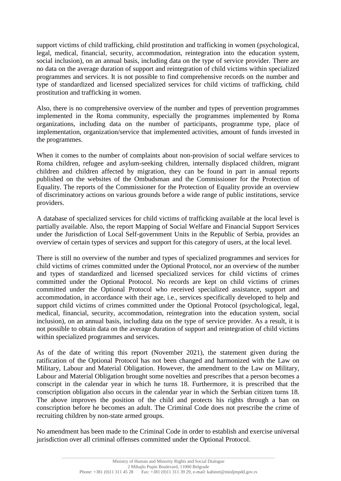support victims of child trafficking, child prostitution and trafficking in women (psychological, legal, medical, financial, security, accommodation, reintegration into the education system, social inclusion), on an annual basis, including data on the type of service provider. There are no data on the average duration of support and reintegration of child victims within specialized programmes and services. It is not possible to find comprehensive records on the number and type of standardized and licensed specialized services for child victims of trafficking, child prostitution and trafficking in women.

Also, there is no comprehensive overview of the number and types of prevention programmes implemented in the Roma community, especially the programmes implemented by Roma organizations, including data on the number of participants, programme type, place of implementation, organization/service that implemented activities, amount of funds invested in the programmes.

When it comes to the number of complaints about non-provision of social welfare services to Roma children, refugee and asylum-seeking children, internally displaced children, migrant children and children affected by migration, they can be found in part in annual reports published on the websites of the Ombudsman and the Commissioner for the Protection of Equality. The reports of the Commissioner for the Protection of Equality provide an overview of discriminatory actions on various grounds before a wide range of public institutions, service providers.

A database of specialized services for child victims of trafficking available at the local level is partially available. Also, the report Mapping of Social Welfare and Financial Support Services under the Jurisdiction of Local Self-government Units in the Republic of Serbia, provides an overview of certain types of services and support for this category of users, at the local level.

There is still no overview of the number and types of specialized programmes and services for child victims of crimes committed under the Optional Protocol, nor an overview of the number and types of standardized and licensed specialized services for child victims of crimes committed under the Optional Protocol. No records are kept on child victims of crimes committed under the Optional Protocol who received specialized assistance, support and accommodation, in accordance with their age, i.e., services specifically developed to help and support child victims of crimes committed under the Optional Protocol (psychological, legal, medical, financial, security, accommodation, reintegration into the education system, social inclusion), on an annual basis, including data on the type of service provider. As a result, it is not possible to obtain data on the average duration of support and reintegration of child victims within specialized programmes and services.

As of the date of writing this report (November 2021), the statement given during the ratification of the Optional Protocol has not been changed and harmonized with the Law on Military, Labour and Material Obligation. However, the amendment to the Law on Military, Labour and Material Obligation brought some novelties and prescribes that a person becomes a conscript in the calendar year in which he turns 18. Furthermore, it is prescribed that the conscription obligation also occurs in the calendar year in which the Serbian citizen turns 18. The above improves the position of the child and protects his rights through a ban on conscription before he becomes an adult. The Criminal Code does not prescribe the crime of recruiting children by non-state armed groups.

No amendment has been made to the Criminal Code in order to establish and exercise universal jurisdiction over all criminal offenses committed under the Optional Protocol.